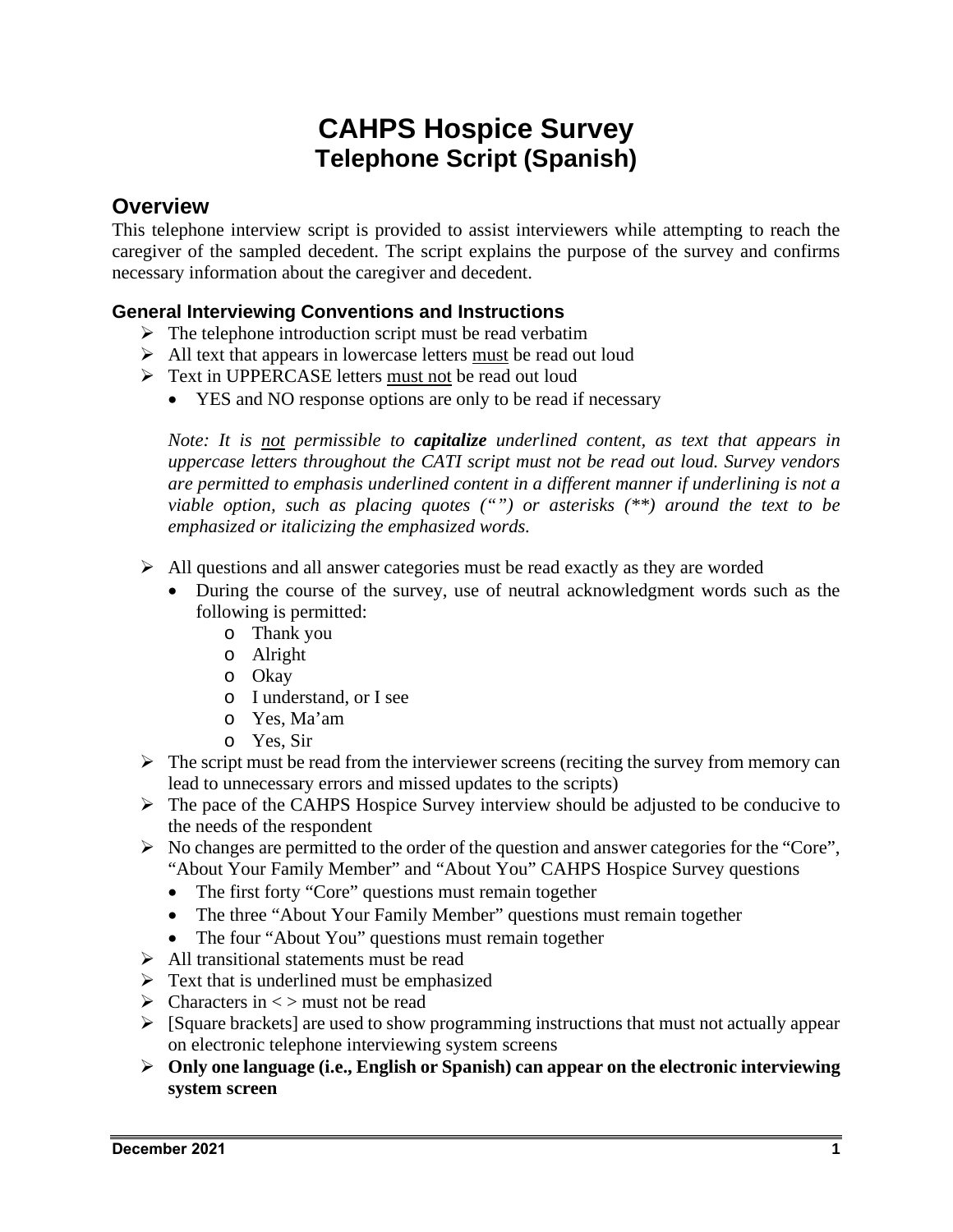# **CAHPS Hospice Survey Telephone Script (Spanish)**

# **Overview**

This telephone interview script is provided to assist interviewers while attempting to reach the caregiver of the sampled decedent. The script explains the purpose of the survey and confirms necessary information about the caregiver and decedent.

# **General Interviewing Conventions and Instructions**

- $\triangleright$  The telephone introduction script must be read verbatim
- $\triangleright$  All text that appears in lowercase letters must be read out loud
- > Text in UPPERCASE letters must not be read out loud
	- YES and NO response options are only to be read if necessary

*Note: It is not permissible to capitalize underlined content, as text that appears in uppercase letters throughout the CATI script must not be read out loud. Survey vendors are permitted to emphasis underlined content in a different manner if underlining is not a viable option, such as placing quotes ("") or asterisks (\*\*) around the text to be emphasized or italicizing the emphasized words.* 

- $\triangleright$  All questions and all answer categories must be read exactly as they are worded
	- During the course of the survey, use of neutral acknowledgment words such as the following is permitted:
		- o Thank you
		- o Alright
		- o Okay
		- o I understand, or I see
		- o Yes, Ma'am
		- o Yes, Sir
- $\triangleright$  The script must be read from the interviewer screens (reciting the survey from memory can lead to unnecessary errors and missed updates to the scripts)
- $\triangleright$  The pace of the CAHPS Hospice Survey interview should be adjusted to be conducive to the needs of the respondent
- $\triangleright$  No changes are permitted to the order of the question and answer categories for the "Core", "About Your Family Member" and "About You" CAHPS Hospice Survey questions
	- The first forty "Core" questions must remain together
	- The three "About Your Family Member" questions must remain together
	- The four "About You" questions must remain together
- $\triangleright$  All transitional statements must be read
- $\triangleright$  Text that is underlined must be emphasized
- $\triangleright$  Characters in  $\lt$  must not be read
- $\triangleright$  [Square brackets] are used to show programming instructions that must not actually appear on electronic telephone interviewing system screens
- **Only one language (i.e., English or Spanish) can appear on the electronic interviewing system screen**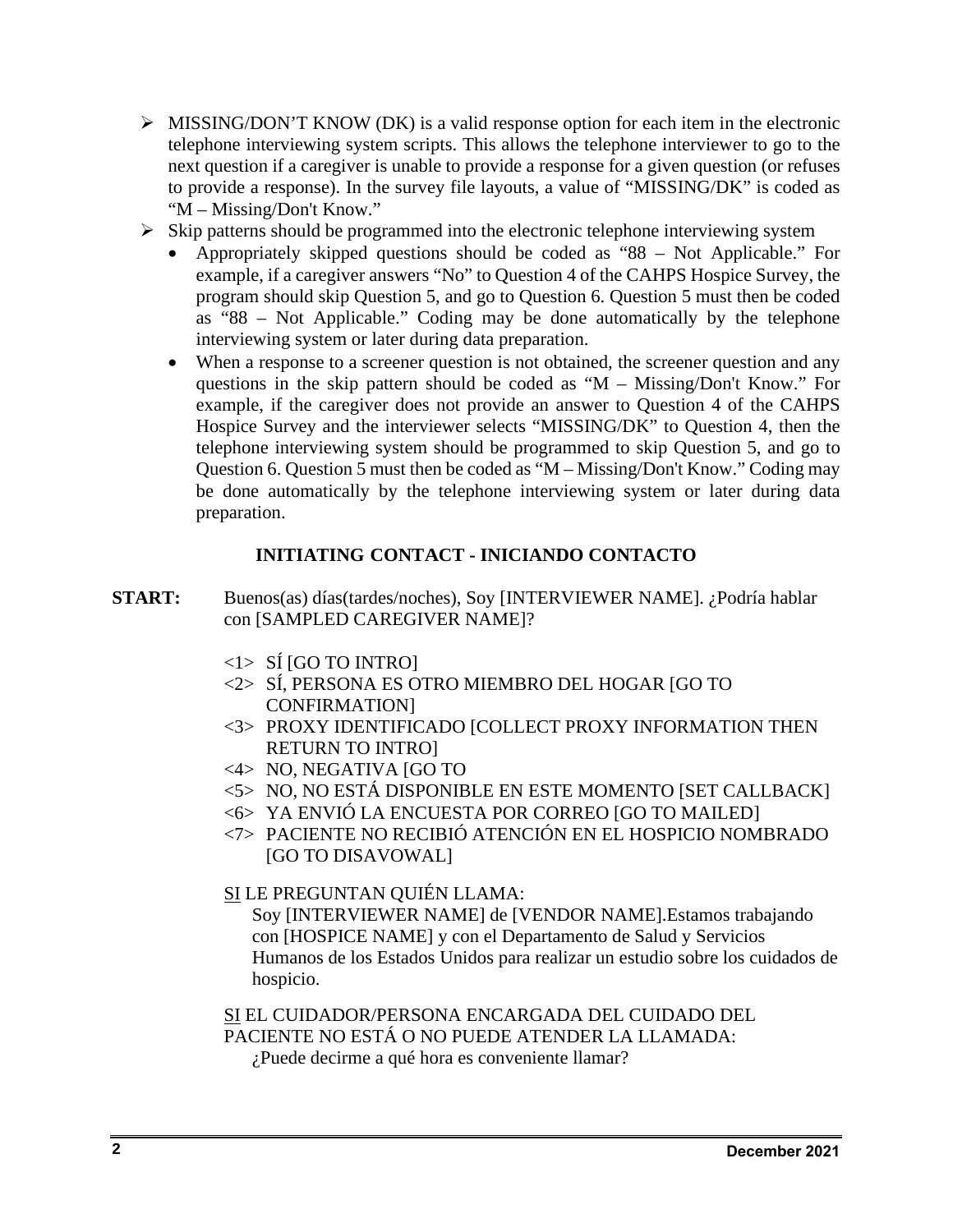- $\triangleright$  MISSING/DON'T KNOW (DK) is a valid response option for each item in the electronic telephone interviewing system scripts. This allows the telephone interviewer to go to the next question if a caregiver is unable to provide a response for a given question (or refuses to provide a response). In the survey file layouts, a value of "MISSING/DK" is coded as "M – Missing/Don't Know."
- $\triangleright$  Skip patterns should be programmed into the electronic telephone interviewing system
	- Appropriately skipped questions should be coded as "88 Not Applicable." For example, if a caregiver answers "No" to Question 4 of the CAHPS Hospice Survey, the program should skip Question 5, and go to Question 6. Question 5 must then be coded as "88 – Not Applicable." Coding may be done automatically by the telephone interviewing system or later during data preparation.
	- When a response to a screener question is not obtained, the screener question and any questions in the skip pattern should be coded as "M – Missing/Don't Know." For example, if the caregiver does not provide an answer to Question 4 of the CAHPS Hospice Survey and the interviewer selects "MISSING/DK" to Question 4, then the telephone interviewing system should be programmed to skip Question 5, and go to Question 6. Question 5 must then be coded as "M – Missing/Don't Know." Coding may be done automatically by the telephone interviewing system or later during data preparation.

# **INITIATING CONTACT - INICIANDO CONTACTO**

- **START:** Buenos(as) días(tardes/noches), Soy [INTERVIEWER NAME]. ¿Podría hablar con [SAMPLED CAREGIVER NAME]?
	- $\langle 1 \rangle$  SI [GO TO INTRO]
	- <2> SÍ, PERSONA ES OTRO MIEMBRO DEL HOGAR [GO TO CONFIRMATION]
	- <3> PROXY IDENTIFICADO [COLLECT PROXY INFORMATION THEN RETURN TO INTRO]
	- <4> NO, NEGATIVA [GO TO
	- <5> NO, NO ESTÁ DISPONIBLE EN ESTE MOMENTO [SET CALLBACK]
	- <6> YA ENVIÓ LA ENCUESTA POR CORREO [GO TO MAILED]
	- <7> PACIENTE NO RECIBIÓ ATENCIÓN EN EL HOSPICIO NOMBRADO [GO TO DISAVOWAL]
	- SI LE PREGUNTAN QUIÉN LLAMA:

Soy [INTERVIEWER NAME] de [VENDOR NAME].Estamos trabajando con [HOSPICE NAME] y con el Departamento de Salud y Servicios Humanos de los Estados Unidos para realizar un estudio sobre los cuidados de hospicio.

SI EL CUIDADOR/PERSONA ENCARGADA DEL CUIDADO DEL PACIENTE NO ESTÁ O NO PUEDE ATENDER LA LLAMADA:

¿Puede decirme a qué hora es conveniente llamar?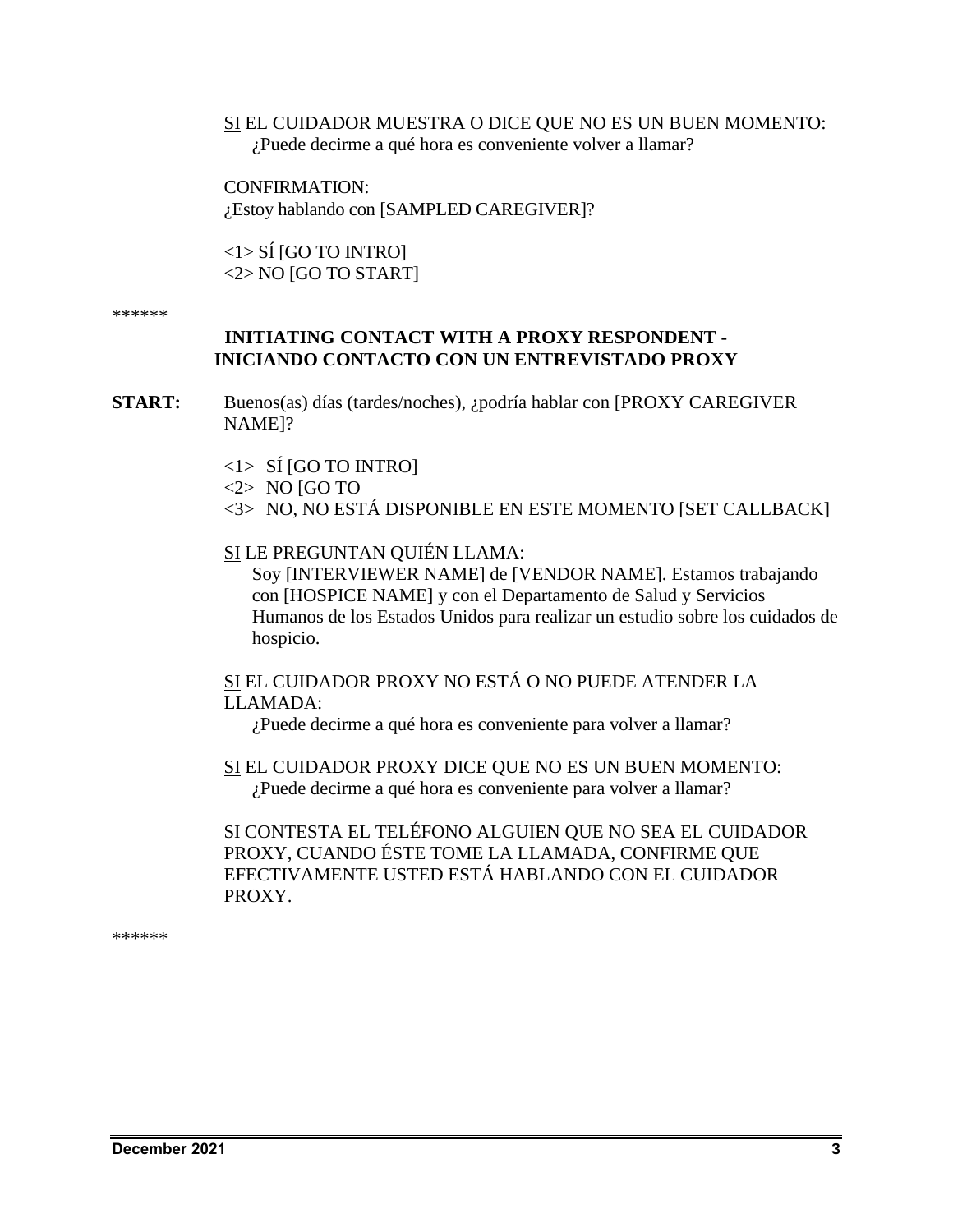## SI EL CUIDADOR MUESTRA O DICE QUE NO ES UN BUEN MOMENTO: ¿Puede decirme a qué hora es conveniente volver a llamar?

CONFIRMATION: ¿Estoy hablando con [SAMPLED CAREGIVER]?

<1> SÍ [GO TO INTRO] <2> NO [GO TO START]

\*\*\*\*\*\*

# **INITIATING CONTACT WITH A PROXY RESPONDENT - INICIANDO CONTACTO CON UN ENTREVISTADO PROXY**

**START:** Buenos(as) días (tardes/noches), ¿podría hablar con [PROXY CAREGIVER NAME]?

- $\langle 1 \rangle$  SI [GO TO INTRO]
- $\langle 2 \rangle$  NO [GO TO
- <3> NO, NO ESTÁ DISPONIBLE EN ESTE MOMENTO [SET CALLBACK]
- SI LE PREGUNTAN QUIÉN LLAMA:

Soy [INTERVIEWER NAME] de [VENDOR NAME]. Estamos trabajando con [HOSPICE NAME] y con el Departamento de Salud y Servicios Humanos de los Estados Unidos para realizar un estudio sobre los cuidados de hospicio.

# SI EL CUIDADOR PROXY NO ESTÁ O NO PUEDE ATENDER LA LLAMADA:

¿Puede decirme a qué hora es conveniente para volver a llamar?

SI EL CUIDADOR PROXY DICE QUE NO ES UN BUEN MOMENTO: ¿Puede decirme a qué hora es conveniente para volver a llamar?

SI CONTESTA EL TELÉFONO ALGUIEN QUE NO SEA EL CUIDADOR PROXY, CUANDO ÉSTE TOME LA LLAMADA, CONFIRME QUE EFECTIVAMENTE USTED ESTÁ HABLANDO CON EL CUIDADOR PROXY.

\*\*\*\*\*\*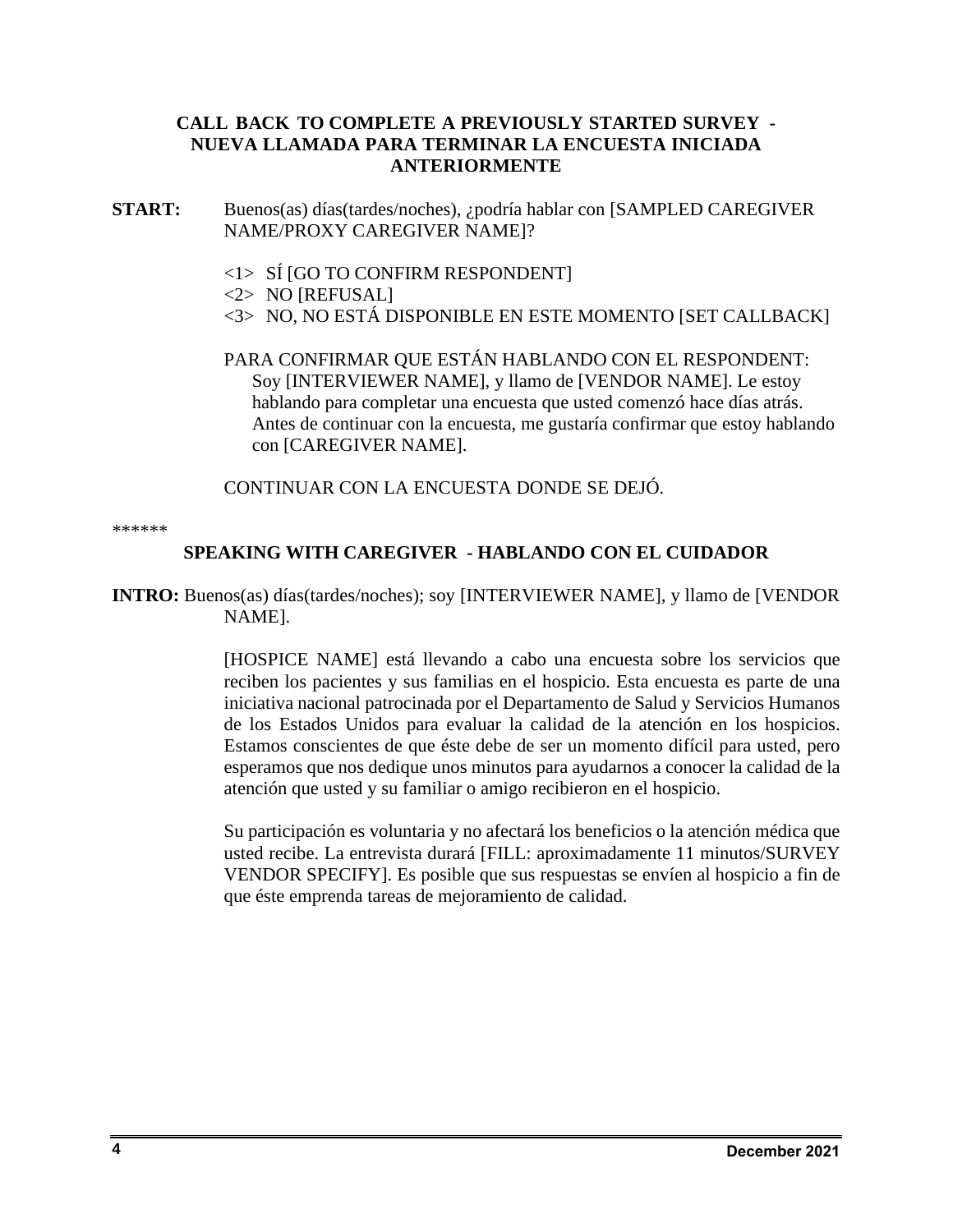# **CALL BACK TO COMPLETE A PREVIOUSLY STARTED SURVEY - NUEVA LLAMADA PARA TERMINAR LA ENCUESTA INICIADA ANTERIORMENTE**

- **START:** Buenos(as) días(tardes/noches), ¿podría hablar con [SAMPLED CAREGIVER NAME/PROXY CAREGIVER NAME]?
	- <1> SÍ [GO TO CONFIRM RESPONDENT]
	- <2> NO [REFUSAL]
	- <3> NO, NO ESTÁ DISPONIBLE EN ESTE MOMENTO [SET CALLBACK]

PARA CONFIRMAR QUE ESTÁN HABLANDO CON EL RESPONDENT: Soy [INTERVIEWER NAME], y llamo de [VENDOR NAME]. Le estoy hablando para completar una encuesta que usted comenzó hace días atrás. Antes de continuar con la encuesta, me gustaría confirmar que estoy hablando con [CAREGIVER NAME].

CONTINUAR CON LA ENCUESTA DONDE SE DEJÓ.

\*\*\*\*\*\*

# **SPEAKING WITH CAREGIVER - HABLANDO CON EL CUIDADOR**

**INTRO:** Buenos(as) días(tardes/noches); soy [INTERVIEWER NAME], y llamo de [VENDOR NAME].

> [HOSPICE NAME] está llevando a cabo una encuesta sobre los servicios que reciben los pacientes y sus familias en el hospicio. Esta encuesta es parte de una iniciativa nacional patrocinada por el Departamento de Salud y Servicios Humanos de los Estados Unidos para evaluar la calidad de la atención en los hospicios. Estamos conscientes de que éste debe de ser un momento difícil para usted, pero esperamos que nos dedique unos minutos para ayudarnos a conocer la calidad de la atención que usted y su familiar o amigo recibieron en el hospicio.

> Su participación es voluntaria y no afectará los beneficios o la atención médica que usted recibe. La entrevista durará [FILL: aproximadamente 11 minutos/SURVEY VENDOR SPECIFY]. Es posible que sus respuestas se envíen al hospicio a fin de que éste emprenda tareas de mejoramiento de calidad.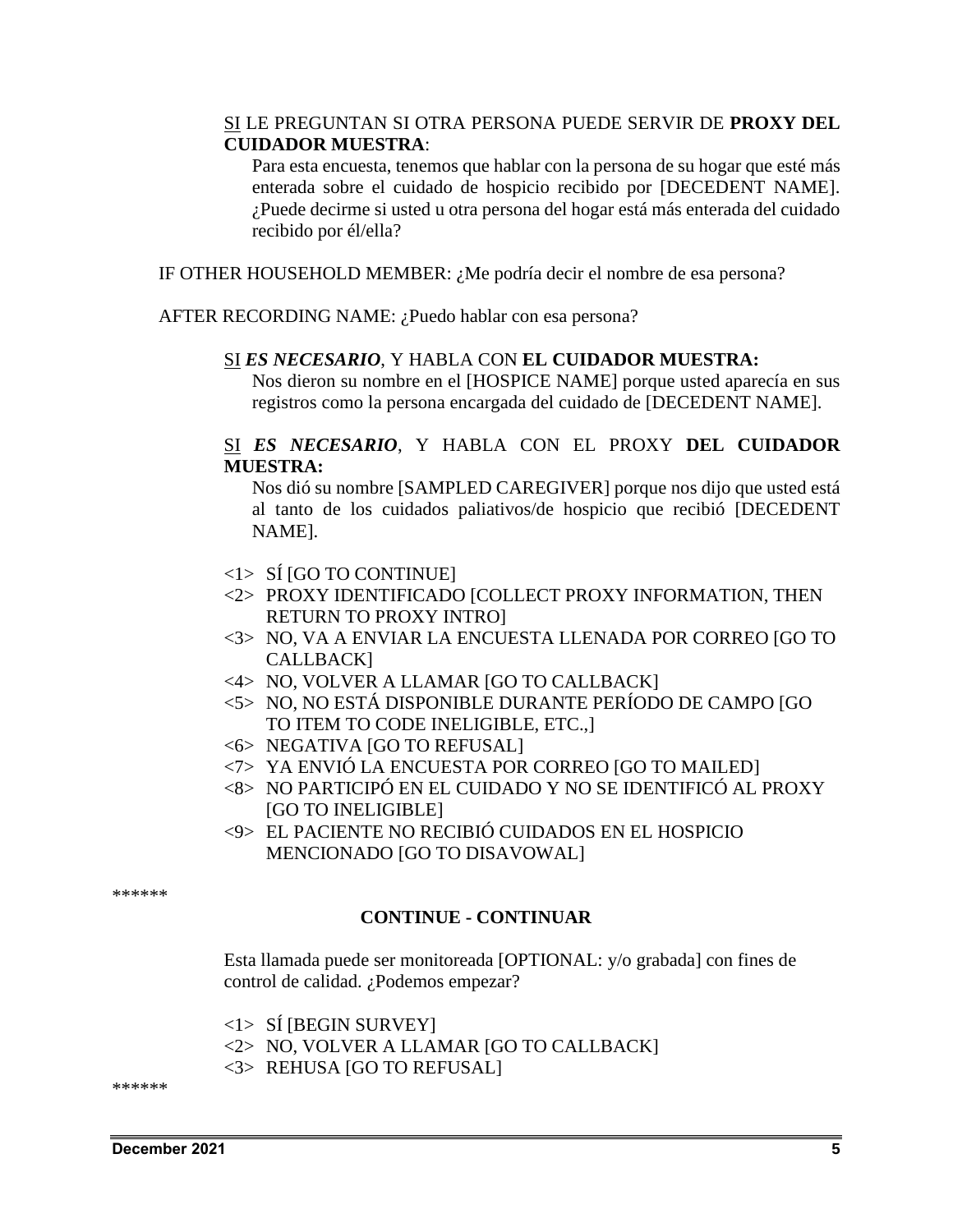# SI LE PREGUNTAN SI OTRA PERSONA PUEDE SERVIR DE **PROXY DEL CUIDADOR MUESTRA**:

Para esta encuesta, tenemos que hablar con la persona de su hogar que esté más enterada sobre el cuidado de hospicio recibido por [DECEDENT NAME]. ¿Puede decirme si usted u otra persona del hogar está más enterada del cuidado recibido por él/ella?

IF OTHER HOUSEHOLD MEMBER: ¿Me podría decir el nombre de esa persona?

AFTER RECORDING NAME: ¿Puedo hablar con esa persona?

## SI *ES NECESARIO*, Y HABLA CON **EL CUIDADOR MUESTRA:**

Nos dieron su nombre en el [HOSPICE NAME] porque usted aparecía en sus registros como la persona encargada del cuidado de [DECEDENT NAME].

# SI *ES NECESARIO*, Y HABLA CON EL PROXY **DEL CUIDADOR MUESTRA:**

Nos dió su nombre [SAMPLED CAREGIVER] porque nos dijo que usted está al tanto de los cuidados paliativos/de hospicio que recibió [DECEDENT NAME].

- <1> SÍ [GO TO CONTINUE]
- <2> PROXY IDENTIFICADO [COLLECT PROXY INFORMATION, THEN RETURN TO PROXY INTRO]
- <3> NO, VA A ENVIAR LA ENCUESTA LLENADA POR CORREO [GO TO CALLBACK]
- <4> NO, VOLVER A LLAMAR [GO TO CALLBACK]
- <5> NO, NO ESTÁ DISPONIBLE DURANTE PERÍODO DE CAMPO [GO TO ITEM TO CODE INELIGIBLE, ETC.,]
- <6> NEGATIVA [GO TO REFUSAL]
- <7> YA ENVIÓ LA ENCUESTA POR CORREO [GO TO MAILED]
- <8> NO PARTICIPÓ EN EL CUIDADO Y NO SE IDENTIFICÓ AL PROXY [GO TO INELIGIBLE]
- <9> EL PACIENTE NO RECIBIÓ CUIDADOS EN EL HOSPICIO MENCIONADO [GO TO DISAVOWAL]

\*\*\*\*\*\*

### **CONTINUE - CONTINUAR**

Esta llamada puede ser monitoreada [OPTIONAL: y/o grabada] con fines de control de calidad. ¿Podemos empezar?

 $\langle 1 \rangle$  SI [BEGIN SURVEY]

<2> NO, VOLVER A LLAMAR [GO TO CALLBACK]

<3> REHUSA [GO TO REFUSAL]

\*\*\*\*\*\*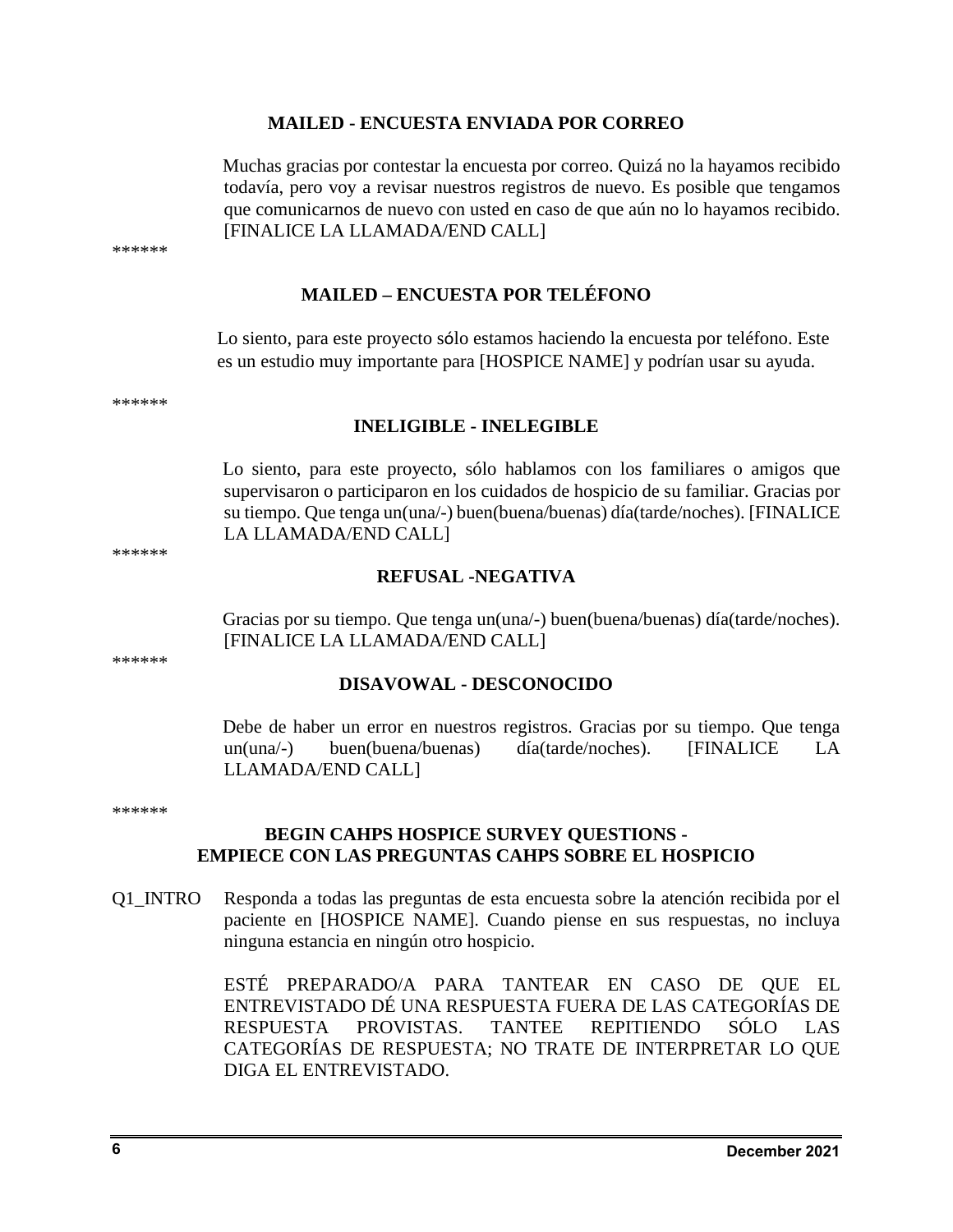#### **MAILED - ENCUESTA ENVIADA POR CORREO**

Muchas gracias por contestar la encuesta por correo. Quizá no la hayamos recibido todavía, pero voy a revisar nuestros registros de nuevo. Es posible que tengamos que comunicarnos de nuevo con usted en caso de que aún no lo hayamos recibido. [FINALICE LA LLAMADA/END CALL]

\*\*\*\*\*\*

# **MAILED – ENCUESTA POR TELÉFONO**

Lo siento, para este proyecto sólo estamos haciendo la encuesta por teléfono. Este es un estudio muy importante para [HOSPICE NAME] y podrían usar su ayuda.

\*\*\*\*\*\*

\*\*\*\*\*\*

\*\*\*\*\*\*

#### **INELIGIBLE - INELEGIBLE**

Lo siento, para este proyecto, sólo hablamos con los familiares o amigos que supervisaron o participaron en los cuidados de hospicio de su familiar. Gracias por su tiempo. Que tenga un(una/-) buen(buena/buenas) día(tarde/noches). [FINALICE LA LLAMADA/END CALL]

# **REFUSAL -NEGATIVA**

Gracias por su tiempo. Que tenga un(una/-) buen(buena/buenas) día(tarde/noches). [FINALICE LA LLAMADA/END CALL]

#### **DISAVOWAL - DESCONOCIDO**

Debe de haber un error en nuestros registros. Gracias por su tiempo. Que tenga un(una/-) buen(buena/buenas) día(tarde/noches). [FINALICE LA LLAMADA/END CALL]

\*\*\*\*\*\*

### **BEGIN CAHPS HOSPICE SURVEY QUESTIONS - EMPIECE CON LAS PREGUNTAS CAHPS SOBRE EL HOSPICIO**

Q1\_INTRO Responda a todas las preguntas de esta encuesta sobre la atención recibida por el paciente en [HOSPICE NAME]. Cuando piense en sus respuestas, no incluya ninguna estancia en ningún otro hospicio.

> ESTÉ PREPARADO/A PARA TANTEAR EN CASO DE QUE EL ENTREVISTADO DÉ UNA RESPUESTA FUERA DE LAS CATEGORÍAS DE RESPUESTA PROVISTAS. TANTEE REPITIENDO SÓLO LAS CATEGORÍAS DE RESPUESTA; NO TRATE DE INTERPRETAR LO QUE DIGA EL ENTREVISTADO.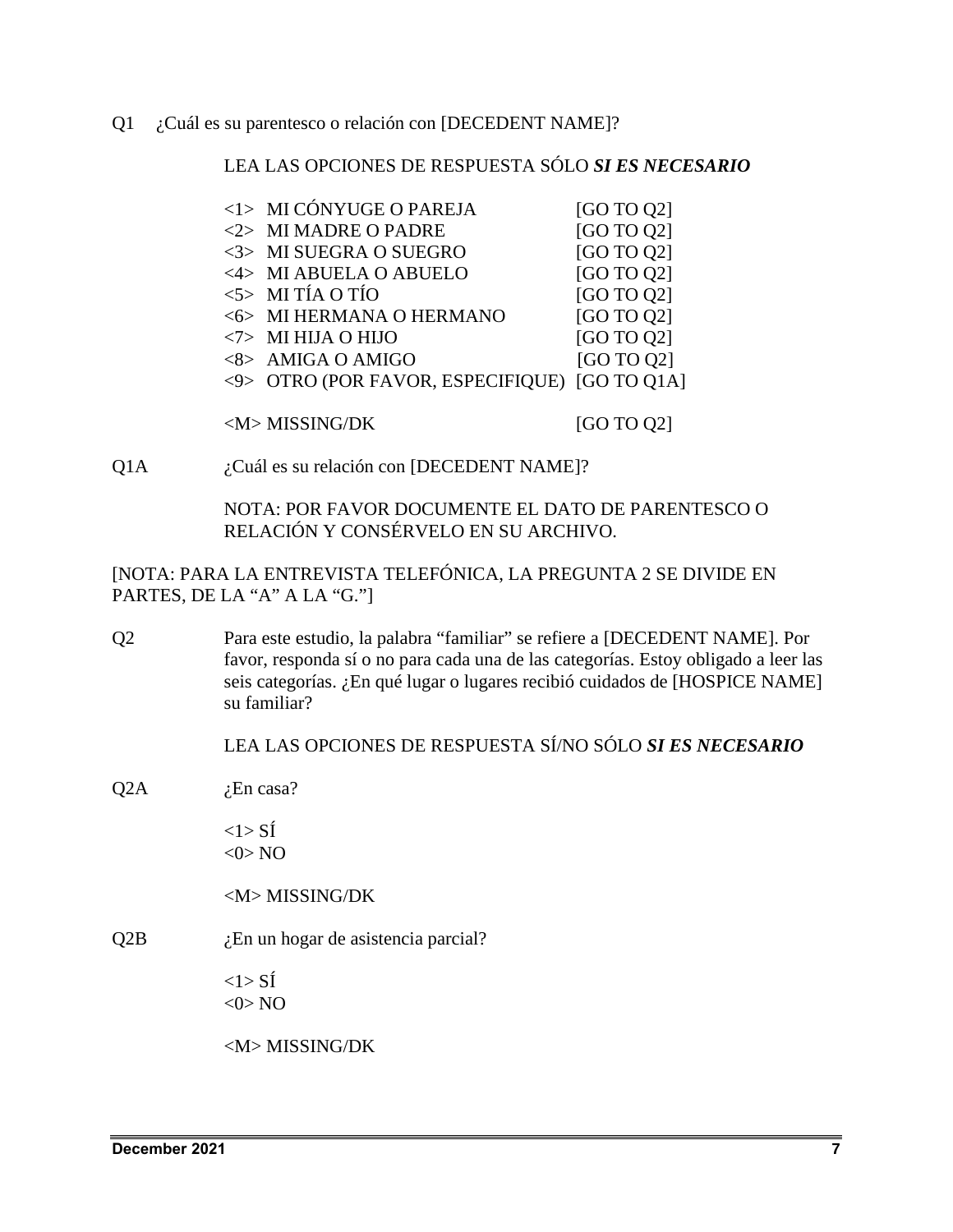Q1 ¿Cuál es su parentesco o relación con [DECEDENT NAME]?

LEA LAS OPCIONES DE RESPUESTA SÓLO *SI ES NECESARIO*

| <1> MI CÓNYUGE O PAREJA                       | [GO TO Q2] |
|-----------------------------------------------|------------|
| <2> MI MADRE O PADRE                          | [GO TO Q2] |
| <3> MI SUEGRA O SUEGRO                        | [GO TO 02] |
| <4> MI ABUELA O ABUELO                        | [GO TO Q2] |
| $5$ MI TÍA O TÍO                              | [GO TO Q2] |
| <6> MI HERMANA O HERMANO                      | [GO TO Q2] |
| $\langle 7 \rangle$ MI HIJA O HIJO            | [GO TO Q2] |
| <8> AMIGA O AMIGO                             | [GO TO 02] |
| <9> OTRO (POR FAVOR, ESPECIFIQUE) [GO TO Q1A] |            |
|                                               |            |
| <m>MISSING/DK</m>                             | [GO TO Q2] |

Q1A *i*Cuál es su relación con [DECEDENT NAME]?

NOTA: POR FAVOR DOCUMENTE EL DATO DE PARENTESCO O RELACIÓN Y CONSÉRVELO EN SU ARCHIVO.

[NOTA: PARA LA ENTREVISTA TELEFÓNICA, LA PREGUNTA 2 SE DIVIDE EN PARTES, DE LA "A" A LA "G."]

Q2 Para este estudio, la palabra "familiar" se refiere a [DECEDENT NAME]. Por favor, responda sí o no para cada una de las categorías. Estoy obligado a leer las seis categorías. ¿En qué lugar o lugares recibió cuidados de [HOSPICE NAME] su familiar?

LEA LAS OPCIONES DE RESPUESTA SÍ/NO SÓLO *SI ES NECESARIO*

 $Q2A$  *i*.En casa?

 $<1>$  SÍ  $<$  0 $>$  NO

<M> MISSING/DK

 $Q2B$  *i*. En un hogar de asistencia parcial?

 $<1>$  SÍ  $<$  0  $>$  NO

<M> MISSING/DK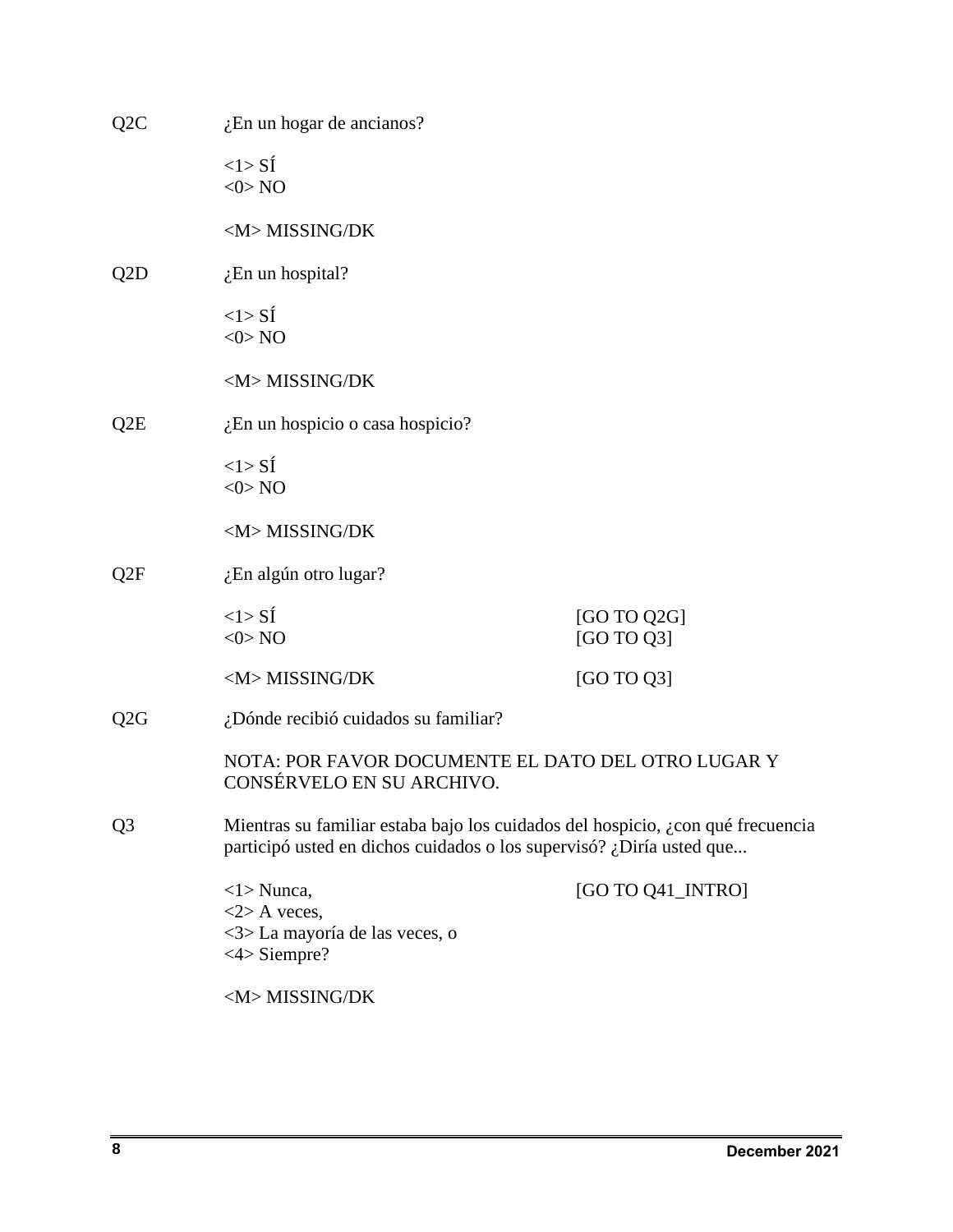| Q <sub>2</sub> C | $i$ En un hogar de ancianos?                                                                                                                            |                           |  |
|------------------|---------------------------------------------------------------------------------------------------------------------------------------------------------|---------------------------|--|
|                  | <1>Si<br>$<$ 0 $>$ NO                                                                                                                                   |                           |  |
|                  | <m>MISSING/DK</m>                                                                                                                                       |                           |  |
| Q <sub>2</sub> D | $i$ En un hospital?                                                                                                                                     |                           |  |
|                  | $<1>$ SI<br>$<$ 0> NO                                                                                                                                   |                           |  |
|                  | <m>MISSING/DK</m>                                                                                                                                       |                           |  |
| Q2E              | ¿En un hospicio o casa hospicio?                                                                                                                        |                           |  |
|                  | $<1>$ SI<br>$<$ 0 $>$ NO                                                                                                                                |                           |  |
|                  | <m>MISSING/DK</m>                                                                                                                                       |                           |  |
| Q2F              | $\chi$ En algún otro lugar?                                                                                                                             |                           |  |
|                  | <1>Si<br>$<$ 0> NO                                                                                                                                      | [GO TO Q2G]<br>[GO TO Q3] |  |
|                  | <m>MISSING/DK</m>                                                                                                                                       | [GO TO Q3]                |  |
| Q2G              | ¿Dónde recibió cuidados su familiar?                                                                                                                    |                           |  |
|                  | NOTA: POR FAVOR DOCUMENTE EL DATO DEL OTRO LUGAR Y<br>CONSÉRVELO EN SU ARCHIVO.                                                                         |                           |  |
| Q <sub>3</sub>   | Mientras su familiar estaba bajo los cuidados del hospicio, ¿con qué frecuencia<br>participó usted en dichos cuidados o los supervisó? ¿Diría usted que |                           |  |
|                  | $\langle$ 1> Nunca,<br>$<$ 2> A veces,<br><3>La mayoría de las veces, o<br>$<4>$ Siempre?                                                               | [GO TO Q41_INTRO]         |  |
|                  | <m>MISSING/DK</m>                                                                                                                                       |                           |  |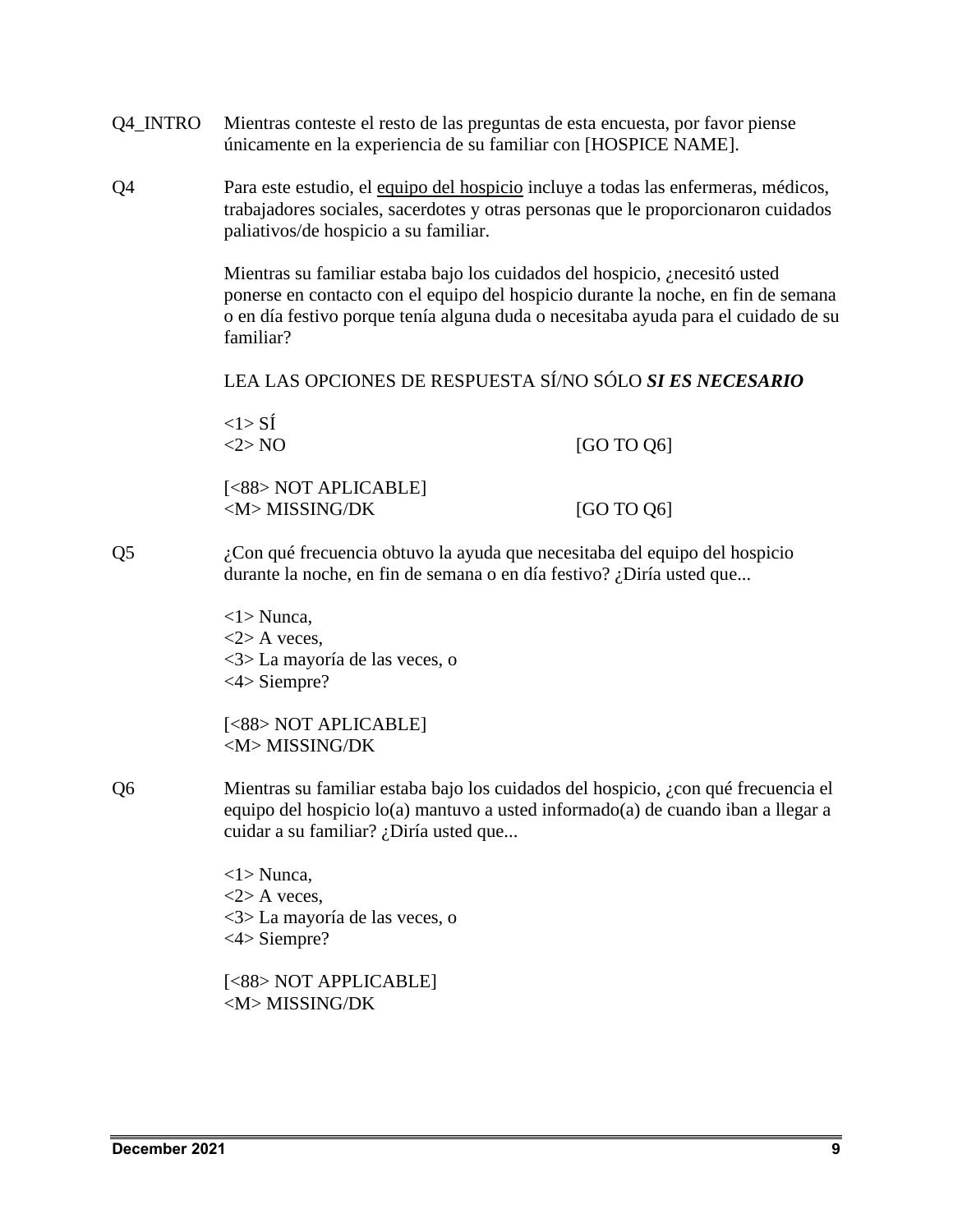- Q4\_INTRO Mientras conteste el resto de las preguntas de esta encuesta, por favor piense únicamente en la experiencia de su familiar con [HOSPICE NAME].
- Q4 Para este estudio, el equipo del hospicio incluye a todas las enfermeras, médicos, trabajadores sociales, sacerdotes y otras personas que le proporcionaron cuidados paliativos/de hospicio a su familiar.

Mientras su familiar estaba bajo los cuidados del hospicio, ¿necesitó usted ponerse en contacto con el equipo del hospicio durante la noche, en fin de semana o en día festivo porque tenía alguna duda o necesitaba ayuda para el cuidado de su familiar?

LEA LAS OPCIONES DE RESPUESTA SÍ/NO SÓLO *SI ES NECESARIO*

|    | $<1>$ SI<br><2>NO                                                                                                                                                                                                      | [GO TO Q6] |
|----|------------------------------------------------------------------------------------------------------------------------------------------------------------------------------------------------------------------------|------------|
|    | [<88> NOT APLICABLE]<br><m>MISSING/DK</m>                                                                                                                                                                              | [GO TO Q6] |
| Q5 | ¿Con qué frecuencia obtuvo la ayuda que necesitaba del equipo del hospicio<br>durante la noche, en fin de semana o en día festivo? ¿Diría usted que                                                                    |            |
|    | $\langle 1 \rangle$ Nunca,<br>$<$ 2> A veces,<br><3> La mayoría de las veces, o<br>$<4>$ Siempre?                                                                                                                      |            |
|    | [<88> NOT APLICABLE]<br><m>MISSING/DK</m>                                                                                                                                                                              |            |
| Q6 | Mientras su familiar estaba bajo los cuidados del hospicio, ¿con qué frecuencia el<br>equipo del hospicio $lo(a)$ mantuvo a usted informado $o(a)$ de cuando iban a llegar a<br>cuidar a su familiar? ¿Diría usted que |            |
|    | $\langle 1 \rangle$ Nunca,<br>$<$ 2> A veces,<br><3> La mayoría de las veces, o<br>$<4>$ Siempre?                                                                                                                      |            |
|    | [<88> NOT APPLICABLE]                                                                                                                                                                                                  |            |

<M> MISSING/DK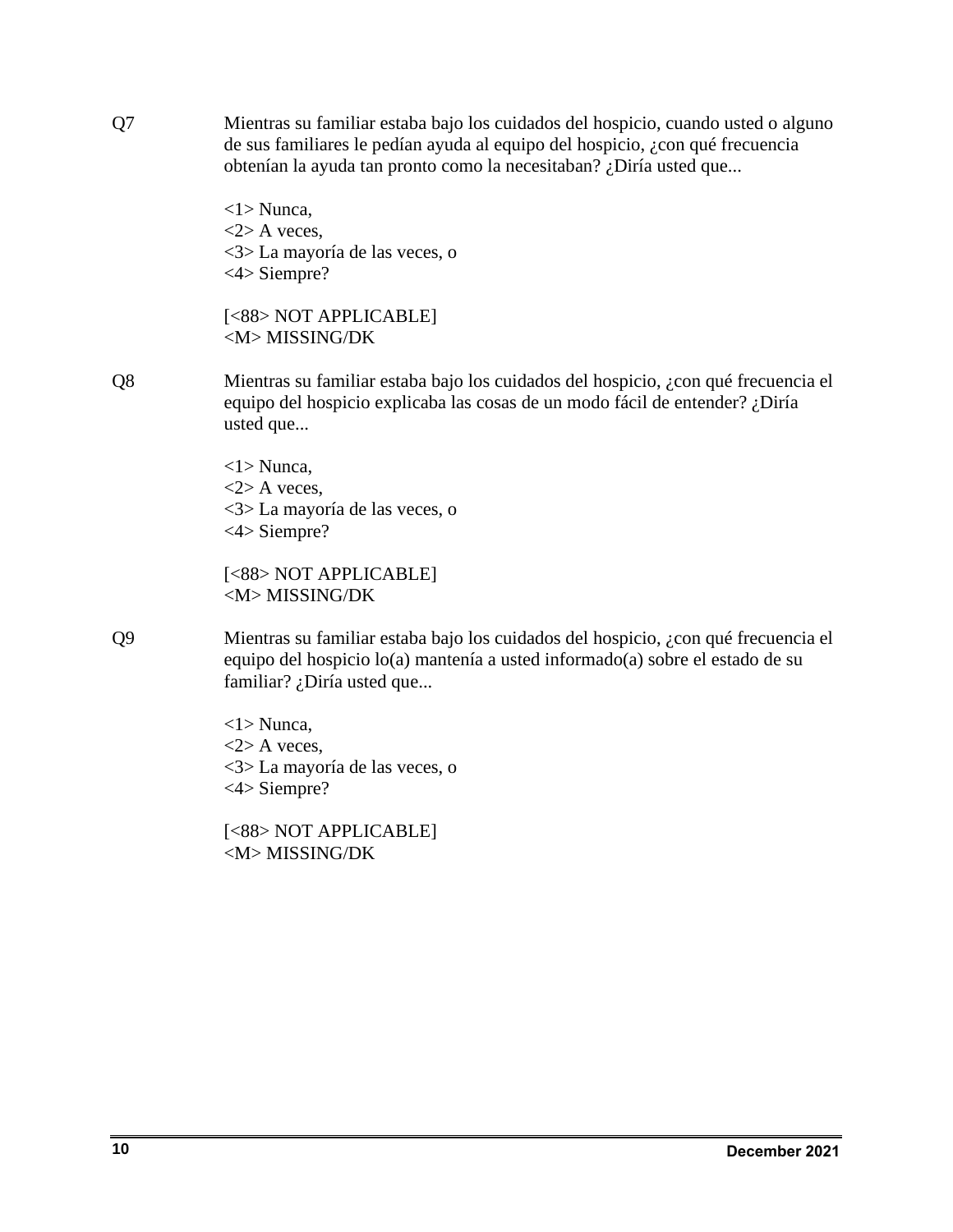Q7 Mientras su familiar estaba bajo los cuidados del hospicio, cuando usted o alguno de sus familiares le pedían ayuda al equipo del hospicio, ¿con qué frecuencia obtenían la ayuda tan pronto como la necesitaban? ¿Diría usted que...

> <1> Nunca,  $\langle 2 \rangle$  A veces, <3> La mayoría de las veces, o <4> Siempre?

[<88> NOT APPLICABLE] <M> MISSING/DK

Q8 Mientras su familiar estaba bajo los cuidados del hospicio, ¿con qué frecuencia el equipo del hospicio explicaba las cosas de un modo fácil de entender? ¿Diría usted que...

> <1> Nunca,  $\langle 2 \rangle$  A veces, <3> La mayoría de las veces, o <4> Siempre?

[<88> NOT APPLICABLE] <M> MISSING/DK

Q9 Mientras su familiar estaba bajo los cuidados del hospicio, ¿con qué frecuencia el equipo del hospicio lo(a) mantenía a usted informado(a) sobre el estado de su familiar? ¿Diría usted que...

> <1> Nunca,  $<$ 2> A veces, <3> La mayoría de las veces, o <4> Siempre?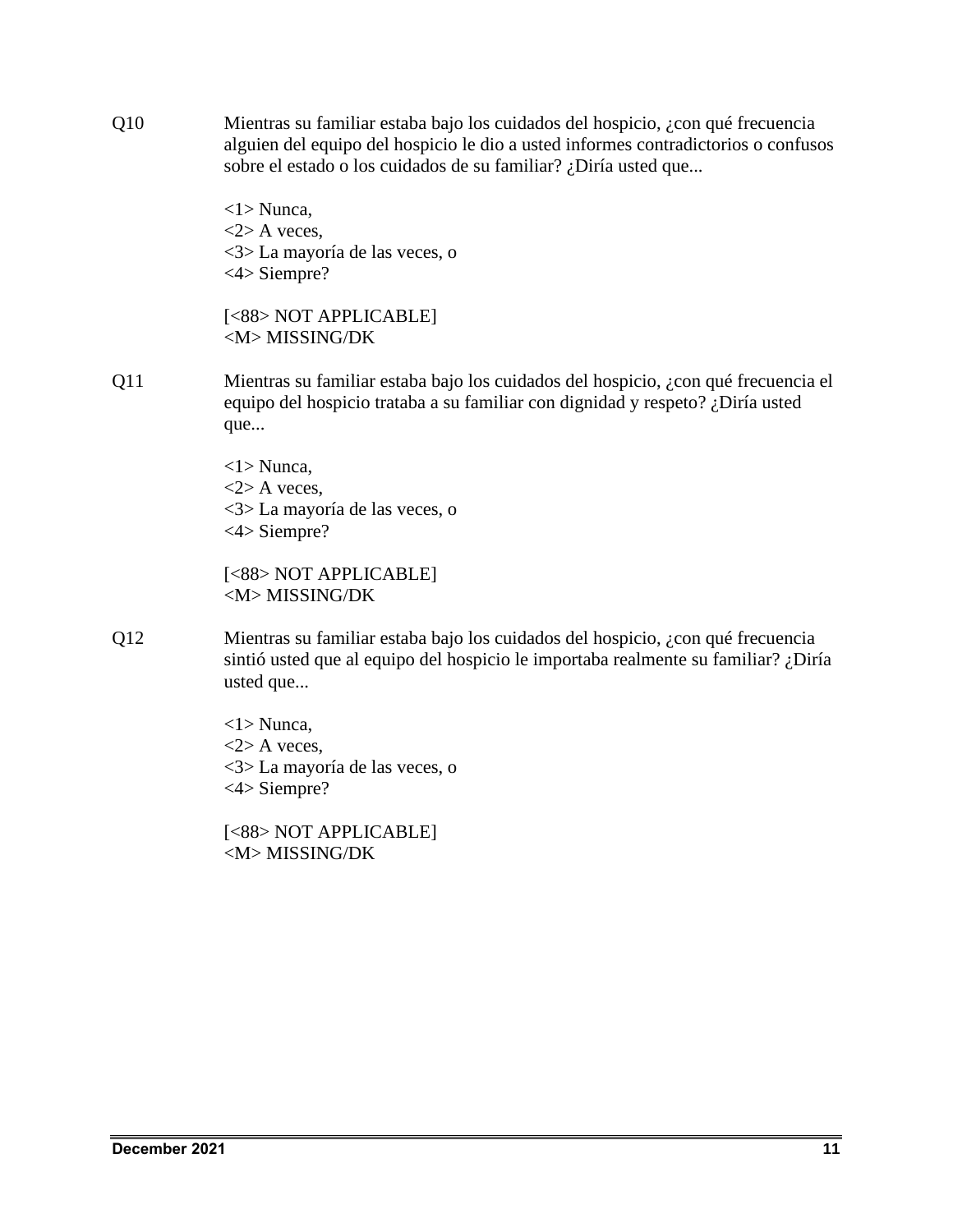Q10 Mientras su familiar estaba bajo los cuidados del hospicio, ¿con qué frecuencia alguien del equipo del hospicio le dio a usted informes contradictorios o confusos sobre el estado o los cuidados de su familiar? ¿Diría usted que...

> <1> Nunca,  $\langle 2 \rangle$  A veces, <3> La mayoría de las veces, o <4> Siempre?

[<88> NOT APPLICABLE] <M> MISSING/DK

Q11 Mientras su familiar estaba bajo los cuidados del hospicio, ¿con qué frecuencia el equipo del hospicio trataba a su familiar con dignidad y respeto? ¿Diría usted que...

> <1> Nunca,  $\langle 2 \rangle$  A veces, <3> La mayoría de las veces, o <4> Siempre?

[<88> NOT APPLICABLE] <M> MISSING/DK

Q12 Mientras su familiar estaba bajo los cuidados del hospicio, ¿con qué frecuencia sintió usted que al equipo del hospicio le importaba realmente su familiar? ¿Diría usted que...

> <1> Nunca,  $<$ 2> A veces, <3> La mayoría de las veces, o <4> Siempre?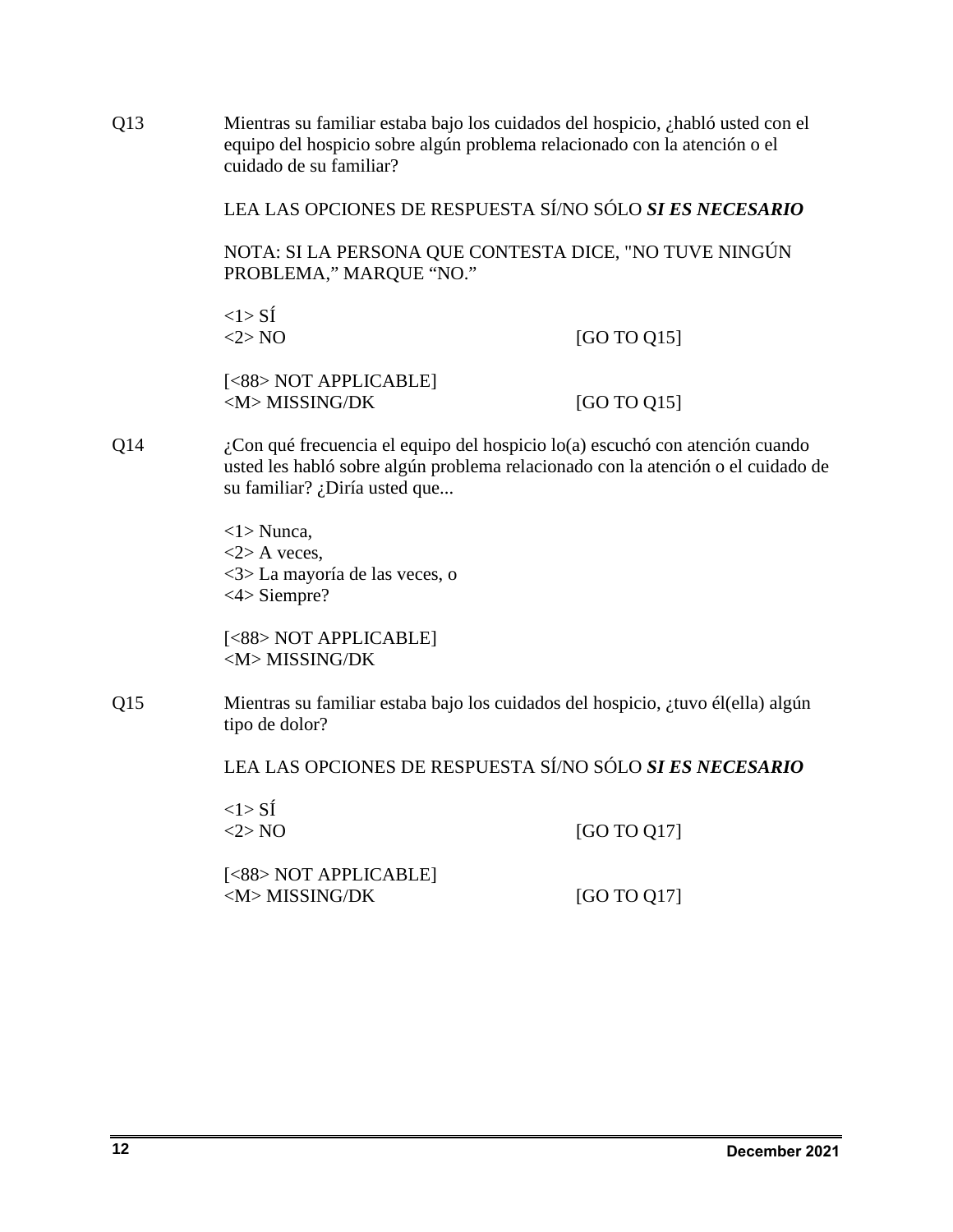Q13 Mientras su familiar estaba bajo los cuidados del hospicio, ¿habló usted con el equipo del hospicio sobre algún problema relacionado con la atención o el cuidado de su familiar?

LEA LAS OPCIONES DE RESPUESTA SÍ/NO SÓLO *SI ES NECESARIO*

NOTA: SI LA PERSONA QUE CONTESTA DICE, "NO TUVE NINGÚN PROBLEMA," MARQUE "NO."

 $<1>$  SÍ

 $\langle 2 \rangle$  NO [GO TO Q15]

[<88> NOT APPLICABLE]  $\langle M \rangle$  MISSING/DK [GO TO Q15]

Q14 ¿Con qué frecuencia el equipo del hospicio lo(a) escuchó con atención cuando usted les habló sobre algún problema relacionado con la atención o el cuidado de su familiar? ¿Diría usted que...

> <1> Nunca,  $<$ 2> A veces. <3> La mayoría de las veces, o <4> Siempre?

[<88> NOT APPLICABLE] <M> MISSING/DK

Q15 Mientras su familiar estaba bajo los cuidados del hospicio, ¿tuvo él(ella) algún tipo de dolor?

LEA LAS OPCIONES DE RESPUESTA SÍ/NO SÓLO *SI ES NECESARIO*

| <1>SI     |             |
|-----------|-------------|
| $<$ 2> NO | [GO TO Q17] |

[<88> NOT APPLICABLE]  $\langle M \rangle$  MISSING/DK [GO TO Q17]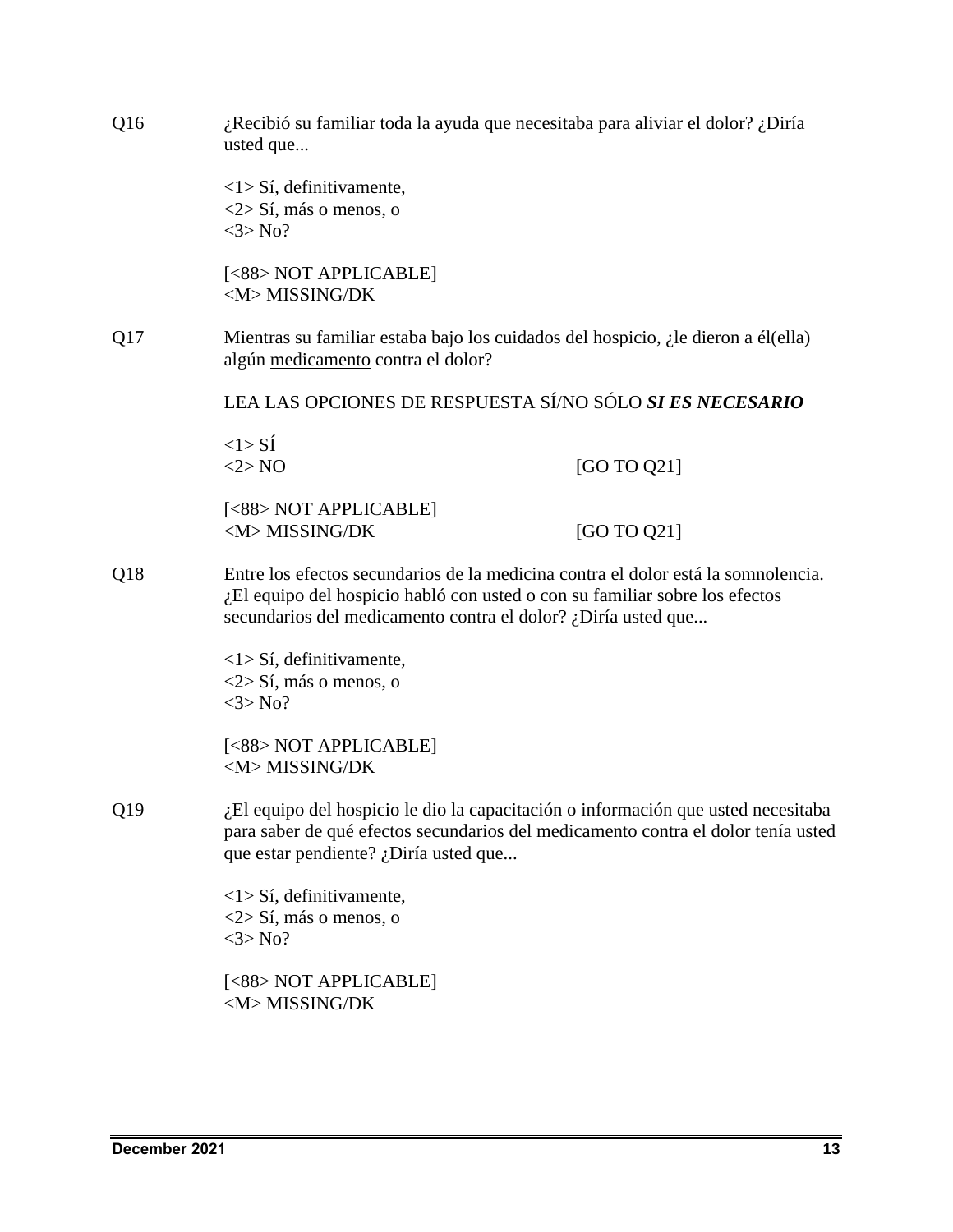| ¿Recibió su familiar toda la ayuda que necesitaba para aliviar el dolor? ¿Diría<br>Q16<br>usted que |                                                                                                                                                                                                                                   |                                                                                                                                                                        |  |
|-----------------------------------------------------------------------------------------------------|-----------------------------------------------------------------------------------------------------------------------------------------------------------------------------------------------------------------------------------|------------------------------------------------------------------------------------------------------------------------------------------------------------------------|--|
|                                                                                                     | $\langle 1 \rangle$ Sí, definitivamente,<br>$\langle 2 \rangle$ Sí, más o menos, o<br>$<3>$ No?                                                                                                                                   |                                                                                                                                                                        |  |
|                                                                                                     | [<88> NOT APPLICABLE]<br><m>MISSING/DK</m>                                                                                                                                                                                        |                                                                                                                                                                        |  |
| Q17                                                                                                 | Mientras su familiar estaba bajo los cuidados del hospicio, $\lambda$ le dieron a él(ella)<br>algún medicamento contra el dolor?                                                                                                  |                                                                                                                                                                        |  |
|                                                                                                     |                                                                                                                                                                                                                                   | LEA LAS OPCIONES DE RESPUESTA SÍ/NO SÓLO SI ES NECESARIO                                                                                                               |  |
|                                                                                                     | $<1>$ SI<br><2>NO                                                                                                                                                                                                                 | [GO TO Q21]                                                                                                                                                            |  |
|                                                                                                     | [<88> NOT APPLICABLE]<br><m>MISSING/DK</m>                                                                                                                                                                                        | [GO TO Q21]                                                                                                                                                            |  |
| Q18                                                                                                 | Entre los efectos secundarios de la medicina contra el dolor está la somnolencia.<br>¿El equipo del hospicio habló con usted o con su familiar sobre los efectos<br>secundarios del medicamento contra el dolor? ¿Diría usted que |                                                                                                                                                                        |  |
|                                                                                                     | $\langle 1 \rangle$ Sí, definitivamente,<br><2> Sí, más o menos, o<br>$<3>$ No?                                                                                                                                                   |                                                                                                                                                                        |  |
|                                                                                                     | [<88> NOT APPLICABLE]<br><m>MISSING/DK</m>                                                                                                                                                                                        |                                                                                                                                                                        |  |
| Q19                                                                                                 | que estar pendiente? ¿Diría usted que                                                                                                                                                                                             | ¿El equipo del hospicio le dio la capacitación o información que usted necesitaba<br>para saber de qué efectos secundarios del medicamento contra el dolor tenía usted |  |
|                                                                                                     | $\langle 1 \rangle$ Sí, definitivamente,<br>$\langle 2 \rangle$ Sí, más o menos, o<br>$<3>$ No?                                                                                                                                   |                                                                                                                                                                        |  |
|                                                                                                     | [<88> NOT APPLICABLE]<br><m>MISSING/DK</m>                                                                                                                                                                                        |                                                                                                                                                                        |  |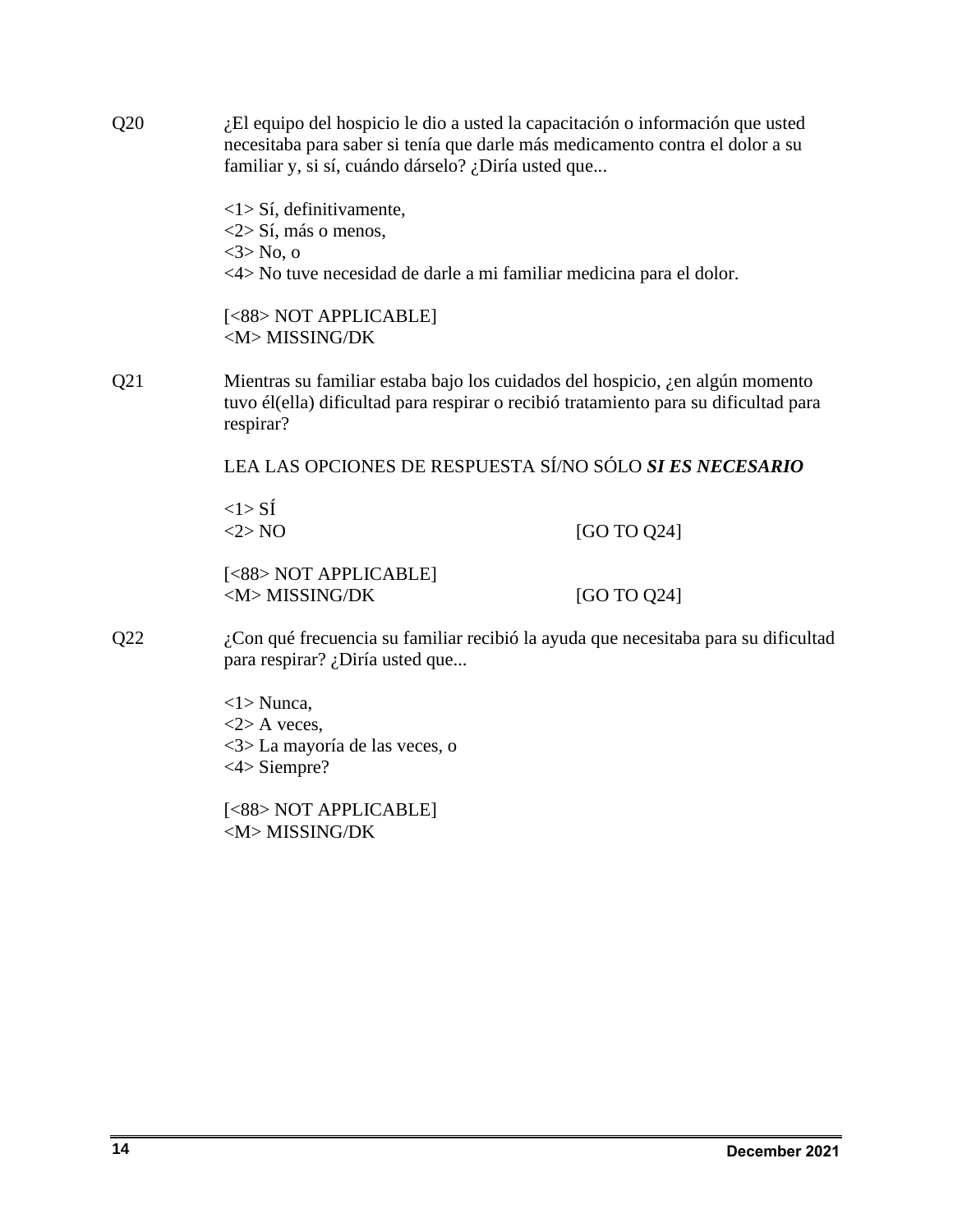| Q20 | ¿El equipo del hospicio le dio a usted la capacitación o información que usted<br>necesitaba para saber si tenía que darle más medicamento contra el dolor a su<br>familiar y, si sí, cuándo dárselo? ¿Diría usted que |             |  |
|-----|------------------------------------------------------------------------------------------------------------------------------------------------------------------------------------------------------------------------|-------------|--|
|     | <1> Sí, definitivamente,<br>$\langle 2 \rangle$ Sí, más o menos,<br>$3 > No$ , o<br><4> No tuve necesidad de darle a mi familiar medicina para el dolor.                                                               |             |  |
|     | [<88> NOT APPLICABLE]<br><m>MISSING/DK</m>                                                                                                                                                                             |             |  |
| Q21 | Mientras su familiar estaba bajo los cuidados del hospicio, ¿en algún momento<br>tuvo él(ella) dificultad para respirar o recibió tratamiento para su dificultad para<br>respirar?                                     |             |  |
|     | LEA LAS OPCIONES DE RESPUESTA SÍ/NO SÓLO SI ES NECESARIO                                                                                                                                                               |             |  |
|     | $<1>$ SI<br><2>NO                                                                                                                                                                                                      | [GO TO Q24] |  |
|     | [<88> NOT APPLICABLE]<br><m>MISSING/DK</m>                                                                                                                                                                             | [GO TO Q24] |  |
| Q22 | ¿Con qué frecuencia su familiar recibió la ayuda que necesitaba para su dificultad<br>para respirar? ¿Diría usted que                                                                                                  |             |  |
|     | $\langle 1 \rangle$ Nunca,<br>$<$ 2> A veces,<br><3> La mayoría de las veces, o<br>$<4>$ Siempre?                                                                                                                      |             |  |
|     | [<88> NOT APPLICABLE]                                                                                                                                                                                                  |             |  |

<M> MISSING/DK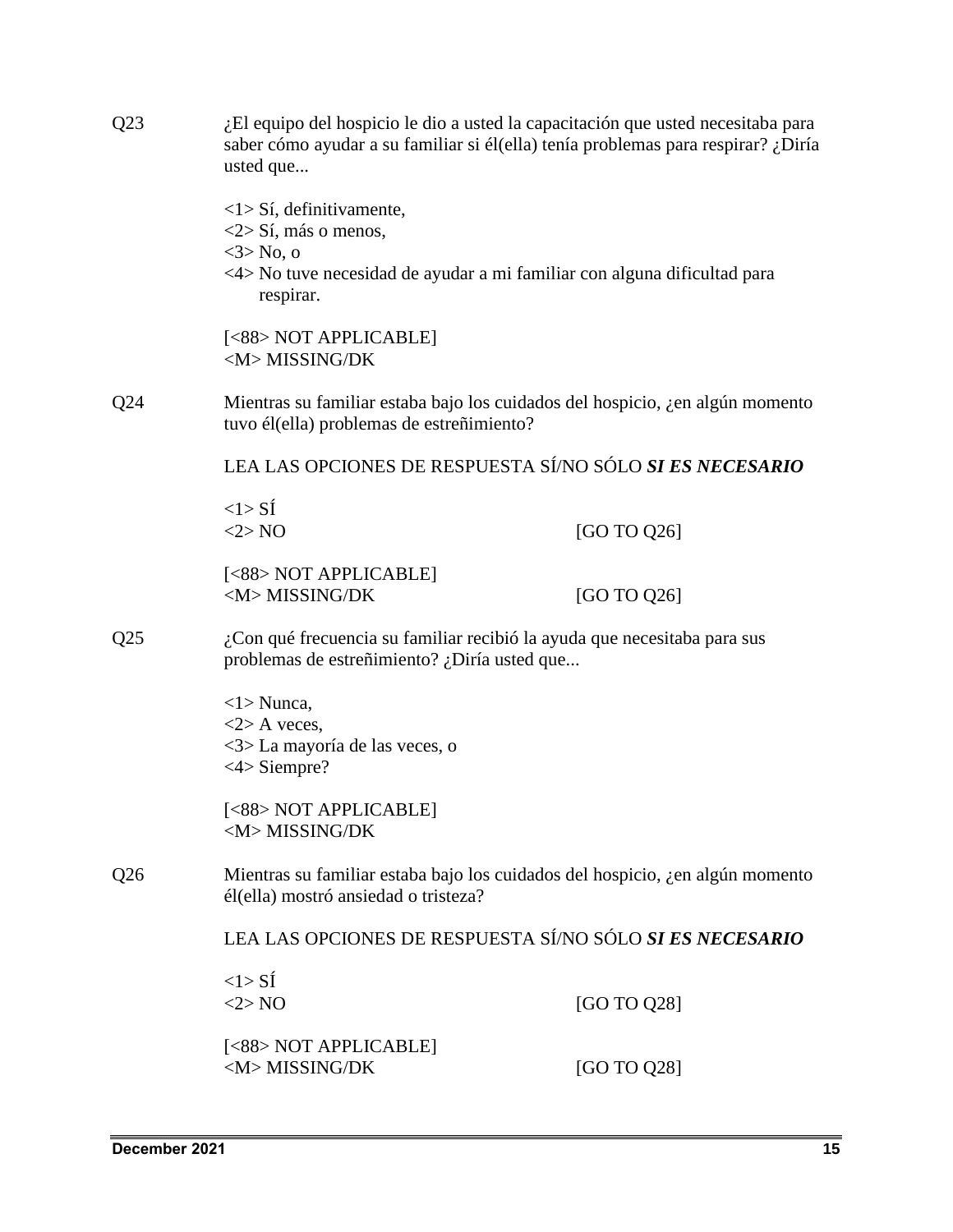| Q23<br>¿El equipo del hospicio le dio a usted la capacitación que usted necesitaba para<br>saber cómo ayudar a su familiar si él(ella) tenía problemas para respirar? ¿Diría<br>usted que |                                                                                                                                                                                  |             |  |
|-------------------------------------------------------------------------------------------------------------------------------------------------------------------------------------------|----------------------------------------------------------------------------------------------------------------------------------------------------------------------------------|-------------|--|
|                                                                                                                                                                                           | $\langle$ 1> Sí, definitivamente,<br>$\langle 2 \rangle$ Sí, más o menos,<br>$3>$ No, o<br><4> No tuve necesidad de ayudar a mi familiar con alguna dificultad para<br>respirar. |             |  |
|                                                                                                                                                                                           | [<88> NOT APPLICABLE]<br><m>MISSING/DK</m>                                                                                                                                       |             |  |
| Q24                                                                                                                                                                                       | Mientras su familiar estaba bajo los cuidados del hospicio, ¿en algún momento<br>tuvo él(ella) problemas de estreñimiento?                                                       |             |  |
|                                                                                                                                                                                           | LEA LAS OPCIONES DE RESPUESTA SÍ/NO SÓLO SI ES NECESARIO                                                                                                                         |             |  |
|                                                                                                                                                                                           | $<1>$ SÍ<br><2>NO                                                                                                                                                                | [GO TO Q26] |  |
|                                                                                                                                                                                           | [<88> NOT APPLICABLE]<br><m>MISSING/DK</m>                                                                                                                                       | [GO TO Q26] |  |
| ¿Con qué frecuencia su familiar recibió la ayuda que necesitaba para sus<br>Q <sub>25</sub><br>problemas de estreñimiento? ¿Diría usted que                                               |                                                                                                                                                                                  |             |  |
|                                                                                                                                                                                           | $\langle 1 \rangle$ Nunca,<br>$<$ 2> A veces,<br><3> La mayoría de las veces, o<br>$<4>$ Siempre?                                                                                |             |  |
|                                                                                                                                                                                           | [<88> NOT APPLICABLE]<br><m>MISSING/DK</m>                                                                                                                                       |             |  |
| Q <sub>26</sub>                                                                                                                                                                           | Mientras su familiar estaba bajo los cuidados del hospicio, ¿en algún momento<br>él(ella) mostró ansiedad o tristeza?                                                            |             |  |
|                                                                                                                                                                                           | LEA LAS OPCIONES DE RESPUESTA SÍ/NO SÓLO SI ES NECESARIO                                                                                                                         |             |  |
|                                                                                                                                                                                           | $<1>$ SI<br><2>NO                                                                                                                                                                | [GO TO Q28] |  |
|                                                                                                                                                                                           | [<88> NOT APPLICABLE]<br><m>MISSING/DK</m>                                                                                                                                       | [GO TO Q28] |  |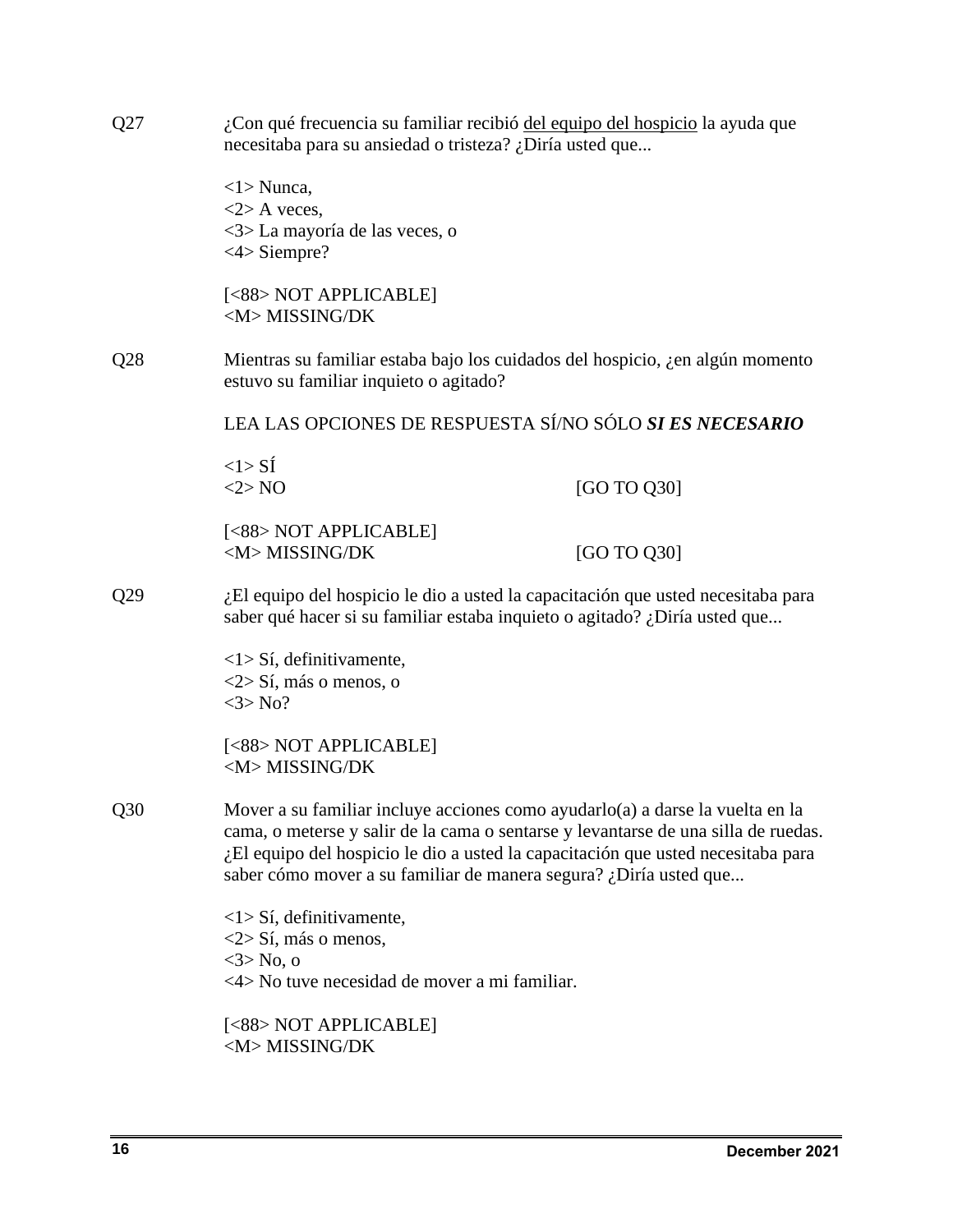| Q27 | ¿Con qué frecuencia su familiar recibió del equipo del hospicio la ayuda que<br>necesitaba para su ansiedad o tristeza? ¿Diría usted que                                                                                                                                                                                     |                                                                               |  |  |
|-----|------------------------------------------------------------------------------------------------------------------------------------------------------------------------------------------------------------------------------------------------------------------------------------------------------------------------------|-------------------------------------------------------------------------------|--|--|
|     | $\langle 1 \rangle$ Nunca,<br>$<$ 2> A veces,<br><3>La mayoría de las veces, o<br>$<4>$ Siempre?                                                                                                                                                                                                                             |                                                                               |  |  |
|     | [<88> NOT APPLICABLE]<br><m>MISSING/DK</m>                                                                                                                                                                                                                                                                                   |                                                                               |  |  |
| Q28 | estuvo su familiar inquieto o agitado?                                                                                                                                                                                                                                                                                       | Mientras su familiar estaba bajo los cuidados del hospicio, ¿en algún momento |  |  |
|     |                                                                                                                                                                                                                                                                                                                              | LEA LAS OPCIONES DE RESPUESTA SÍ/NO SÓLO SI ES NECESARIO                      |  |  |
|     | $<$ l $>$ SÍ<br><2>NO                                                                                                                                                                                                                                                                                                        | [GO TO Q30]                                                                   |  |  |
|     | [<88> NOT APPLICABLE]<br><m>MISSING/DK</m>                                                                                                                                                                                                                                                                                   | [GO TO Q30]                                                                   |  |  |
| Q29 | ¿El equipo del hospicio le dio a usted la capacitación que usted necesitaba para<br>saber qué hacer si su familiar estaba inquieto o agitado? ¿Diría usted que                                                                                                                                                               |                                                                               |  |  |
|     | $\langle 1 \rangle$ Sí, definitivamente,<br>$\langle 2 \rangle$ Sí, más o menos, o<br>$<3>$ No?                                                                                                                                                                                                                              |                                                                               |  |  |
|     | [<88> NOT APPLICABLE]<br><m>MISSING/DK</m>                                                                                                                                                                                                                                                                                   |                                                                               |  |  |
| Q30 | Mover a su familiar incluye acciones como ayudarlo(a) a darse la vuelta en la<br>cama, o meterse y salir de la cama o sentarse y levantarse de una silla de ruedas.<br>¿El equipo del hospicio le dio a usted la capacitación que usted necesitaba para<br>saber cómo mover a su familiar de manera segura? ¿Diría usted que |                                                                               |  |  |
|     | $\langle 1 \rangle$ Sí, definitivamente,                                                                                                                                                                                                                                                                                     |                                                                               |  |  |
|     | $\langle 2 \rangle$ Sí, más o menos,<br>$3 > No$ , o<br><4> No tuve necesidad de mover a mi familiar.                                                                                                                                                                                                                        |                                                                               |  |  |
|     | [<88> NOT APPLICABLE]<br><m>MISSING/DK</m>                                                                                                                                                                                                                                                                                   |                                                                               |  |  |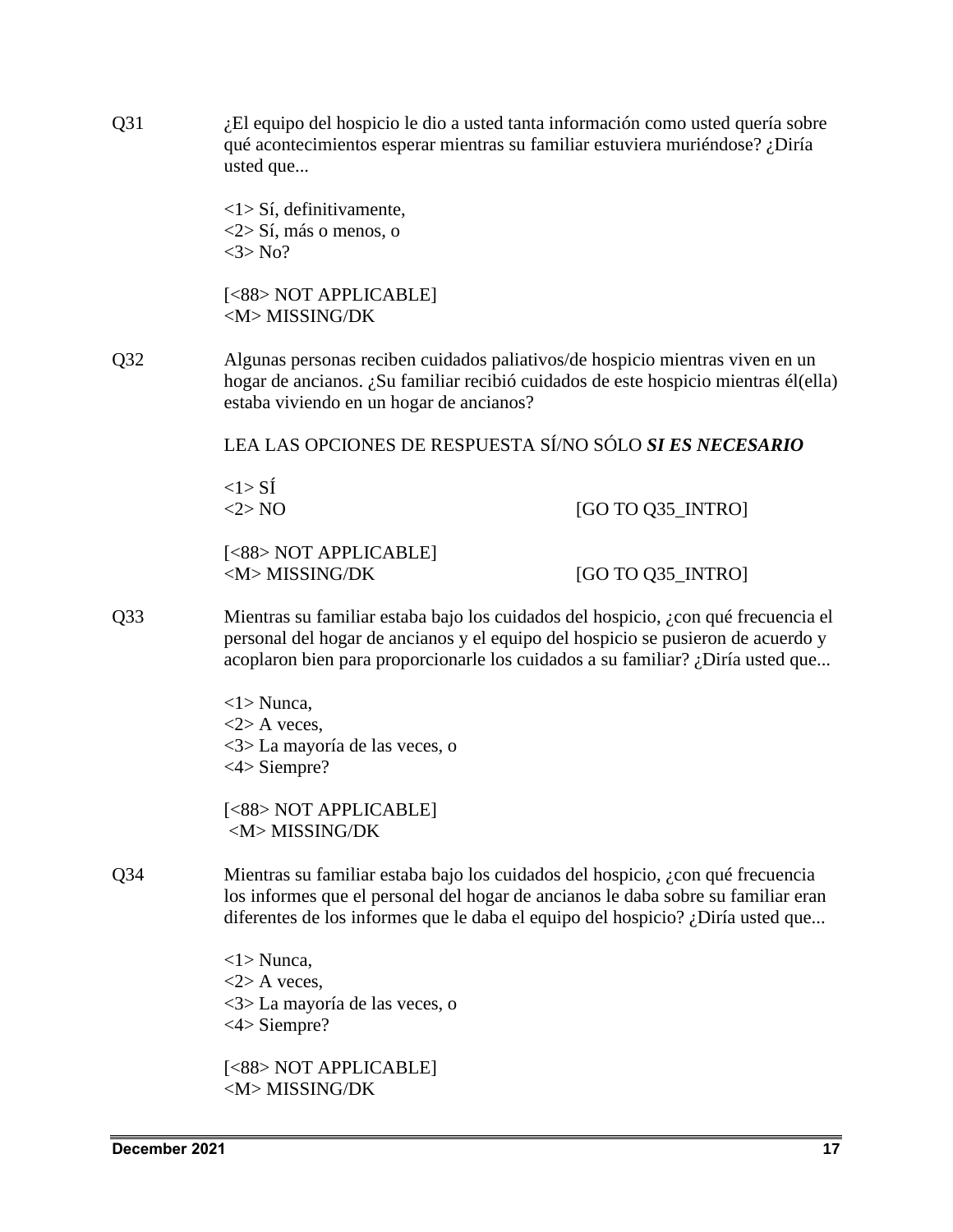| Q31             | ¿El equipo del hospicio le dio a usted tanta información como usted quería sobre<br>qué acontecimientos esperar mientras su familiar estuviera muriéndose? ¿Diría<br>usted que                                                                            |                   |  |
|-----------------|-----------------------------------------------------------------------------------------------------------------------------------------------------------------------------------------------------------------------------------------------------------|-------------------|--|
|                 | $\langle 1 \rangle$ Sí, definitivamente,<br>$\langle 2 \rangle$ Sí, más o menos, o<br>$<3>$ No?                                                                                                                                                           |                   |  |
|                 | [<88> NOT APPLICABLE]<br><m>MISSING/DK</m>                                                                                                                                                                                                                |                   |  |
| Q <sub>32</sub> | Algunas personas reciben cuidados paliativos/de hospicio mientras viven en un<br>hogar de ancianos. ¿Su familiar recibió cuidados de este hospicio mientras él(ella)<br>estaba viviendo en un hogar de ancianos?                                          |                   |  |
|                 | LEA LAS OPCIONES DE RESPUESTA SÍ/NO SÓLO SI ES NECESARIO                                                                                                                                                                                                  |                   |  |
|                 | $<1>$ SÍ<br><2>NO                                                                                                                                                                                                                                         | [GO TO Q35_INTRO] |  |
|                 | [<88> NOT APPLICABLE]<br><m>MISSING/DK</m>                                                                                                                                                                                                                | [GO TO Q35_INTRO] |  |
| Q <sub>33</sub> | Mientras su familiar estaba bajo los cuidados del hospicio, ¿con qué frecuencia el<br>personal del hogar de ancianos y el equipo del hospicio se pusieron de acuerdo y<br>acoplaron bien para proporcionarle los cuidados a su familiar? ¿Diría usted que |                   |  |
|                 | $\langle 1 \rangle$ Nunca,<br>$<$ 2> A veces,<br><3> La mayoría de las veces, o<br>$<4>$ Siempre?                                                                                                                                                         |                   |  |
|                 | [<88> NOT APPLICABLE]<br><m>MISSING/DK</m>                                                                                                                                                                                                                |                   |  |
| Q <sub>34</sub> | Mientras su familiar estaba bajo los cuidados del hospicio, ¿con qué frecuencia<br>los informes que el personal del hogar de ancianos le daba sobre su familiar eran<br>diferentes de los informes que le daba el equipo del hospicio? ¿Diría usted que   |                   |  |
|                 | $\langle 1 \rangle$ Nunca,<br>$<$ 2> A veces,<br><3>La mayoría de las veces, o<br>$<4>$ Siempre?                                                                                                                                                          |                   |  |
|                 | [<88> NOT APPLICABLE]<br><m>MISSING/DK</m>                                                                                                                                                                                                                |                   |  |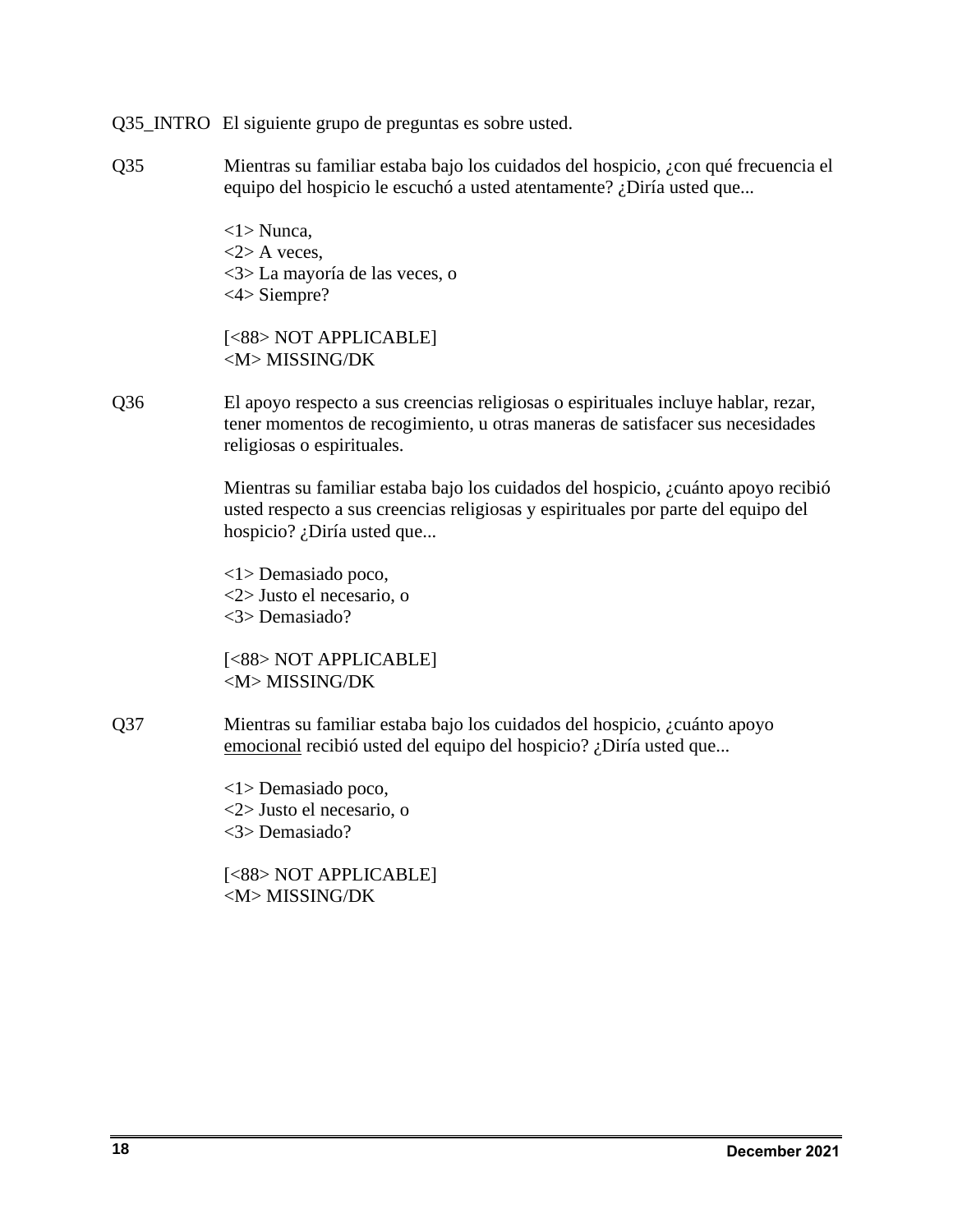Q35\_INTRO El siguiente grupo de preguntas es sobre usted.

Q35 Mientras su familiar estaba bajo los cuidados del hospicio, ¿con qué frecuencia el equipo del hospicio le escuchó a usted atentamente? ¿Diría usted que...

> <1> Nunca,  $\langle 2 \rangle$  A veces. <3> La mayoría de las veces, o <4> Siempre?

[<88> NOT APPLICABLE] <M> MISSING/DK

Q36 El apoyo respecto a sus creencias religiosas o espirituales incluye hablar, rezar, tener momentos de recogimiento, u otras maneras de satisfacer sus necesidades religiosas o espirituales.

> Mientras su familiar estaba bajo los cuidados del hospicio, ¿cuánto apoyo recibió usted respecto a sus creencias religiosas y espirituales por parte del equipo del hospicio? ¿Diría usted que...

<1> Demasiado poco, <2> Justo el necesario, o <3> Demasiado?

```
[<88> NOT APPLICABLE]
<M> MISSING/DK
```
Q37 Mientras su familiar estaba bajo los cuidados del hospicio, ¿cuánto apoyo emocional recibió usted del equipo del hospicio? ¿Diría usted que...

> <1> Demasiado poco, <2> Justo el necesario, o <3> Demasiado?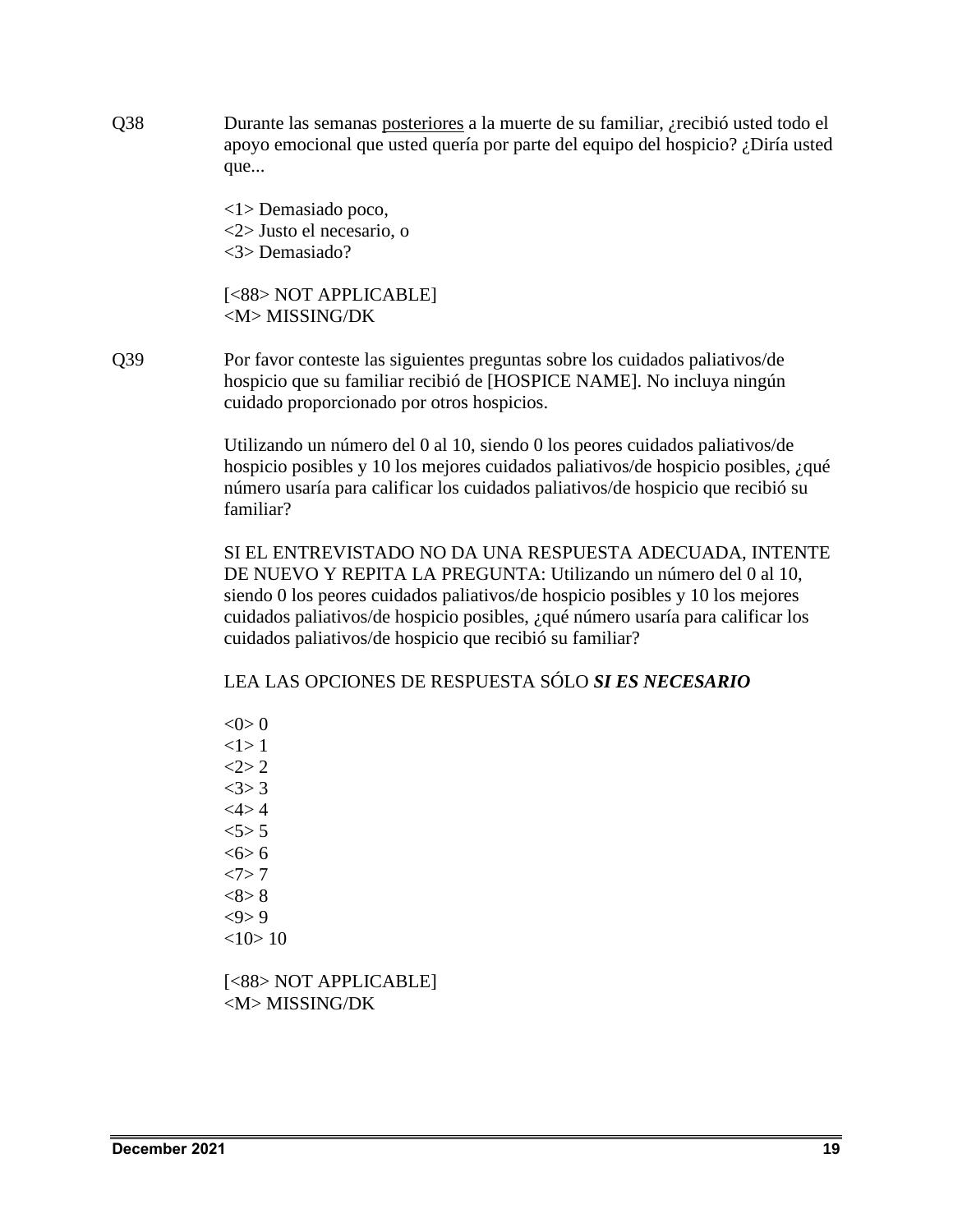Q38 Durante las semanas posteriores a la muerte de su familiar, ¿recibió usted todo el apoyo emocional que usted quería por parte del equipo del hospicio? ¿Diría usted que...

> <1> Demasiado poco, <2> Justo el necesario, o <3> Demasiado?

[<88> NOT APPLICABLE] <M> MISSING/DK

Q39 Por favor conteste las siguientes preguntas sobre los cuidados paliativos/de hospicio que su familiar recibió de [HOSPICE NAME]. No incluya ningún cuidado proporcionado por otros hospicios.

> Utilizando un número del 0 al 10, siendo 0 los peores cuidados paliativos/de hospicio posibles y 10 los mejores cuidados paliativos/de hospicio posibles, ¿qué número usaría para calificar los cuidados paliativos/de hospicio que recibió su familiar?

> SI EL ENTREVISTADO NO DA UNA RESPUESTA ADECUADA, INTENTE DE NUEVO Y REPITA LA PREGUNTA: Utilizando un número del 0 al 10, siendo 0 los peores cuidados paliativos/de hospicio posibles y 10 los mejores cuidados paliativos/de hospicio posibles, ¿qué número usaría para calificar los cuidados paliativos/de hospicio que recibió su familiar?

LEA LAS OPCIONES DE RESPUESTA SÓLO *SI ES NECESARIO*

 $< 0 > 0$  $<1>1$  $2 > 2$  $<3>3$  $<4>4$  $5 > 5$  $<$  6 $>$  6  $<7>7$  $<8>8$  $<\!\!\theta\!\!>9$  $<10>10$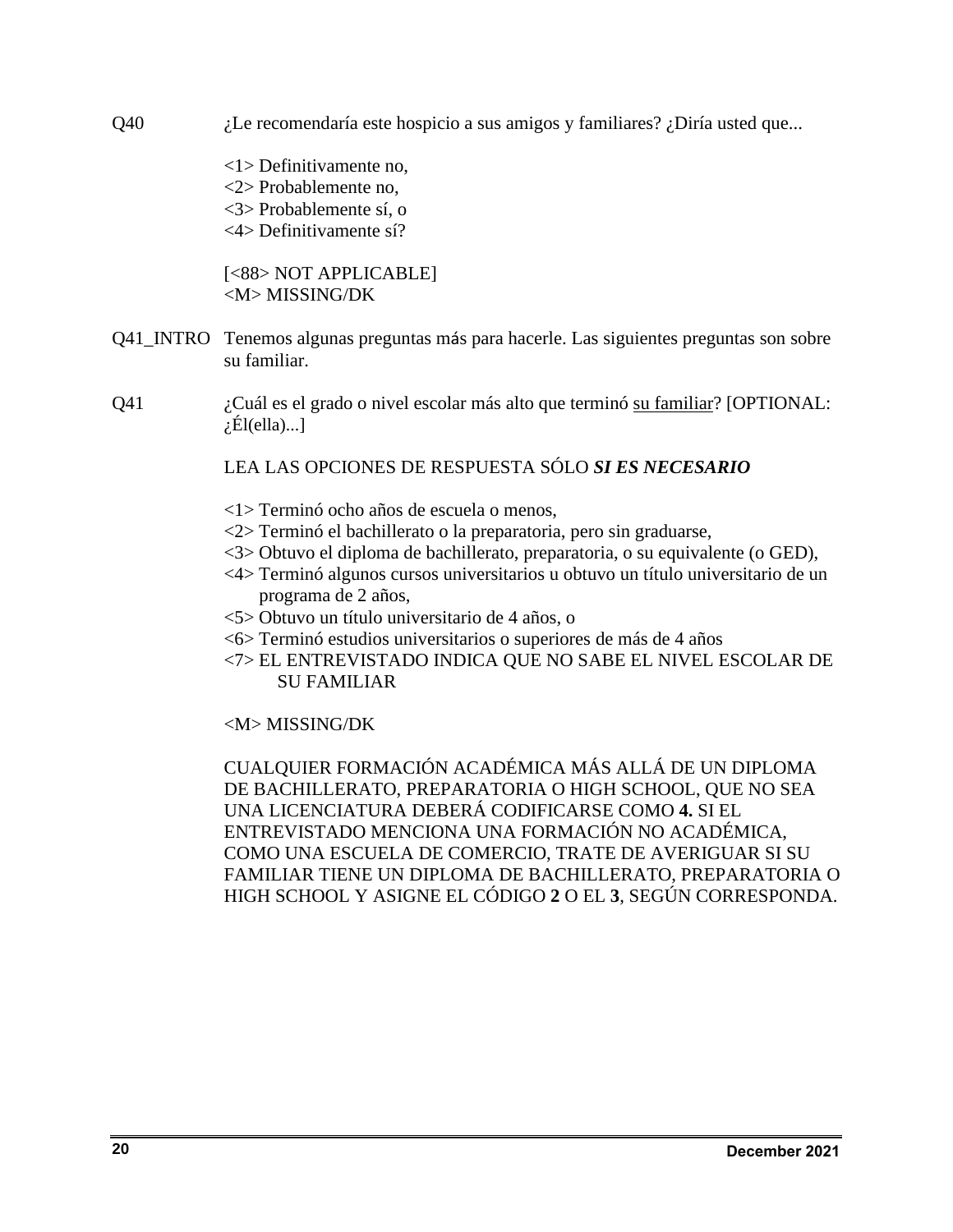Q40 ¿Le recomendaría este hospicio a sus amigos y familiares? ¿Diría usted que...

<1> Definitivamente no, <2> Probablemente no, <3> Probablemente sí, o <4> Definitivamente sí?

[<88> NOT APPLICABLE] <M> MISSING/DK

- Q41\_INTRO Tenemos algunas preguntas más para hacerle. Las siguientes preguntas son sobre su familiar.
- Q41 ¿Cuál es el grado o nivel escolar más alto que terminó su familiar? [OPTIONAL:  $\chi$ El(ella)...]

# LEA LAS OPCIONES DE RESPUESTA SÓLO *SI ES NECESARIO*

- <1> Terminó ocho años de escuela o menos,
- <2> Terminó el bachillerato o la preparatoria, pero sin graduarse,
- <3> Obtuvo el diploma de bachillerato, preparatoria, o su equivalente (o GED),
- <4> Terminó algunos cursos universitarios u obtuvo un título universitario de un programa de 2 años,
- <5> Obtuvo un título universitario de 4 años, o
- <6> Terminó estudios universitarios o superiores de más de 4 años
- <7> EL ENTREVISTADO INDICA QUE NO SABE EL NIVEL ESCOLAR DE SU FAMILIAR

# <M> MISSING/DK

CUALQUIER FORMACIÓN ACADÉMICA MÁS ALLÁ DE UN DIPLOMA DE BACHILLERATO, PREPARATORIA O HIGH SCHOOL, QUE NO SEA UNA LICENCIATURA DEBERÁ CODIFICARSE COMO **4.** SI EL ENTREVISTADO MENCIONA UNA FORMACIÓN NO ACADÉMICA, COMO UNA ESCUELA DE COMERCIO, TRATE DE AVERIGUAR SI SU FAMILIAR TIENE UN DIPLOMA DE BACHILLERATO, PREPARATORIA O HIGH SCHOOL Y ASIGNE EL CÓDIGO **2** O EL **3**, SEGÚN CORRESPONDA.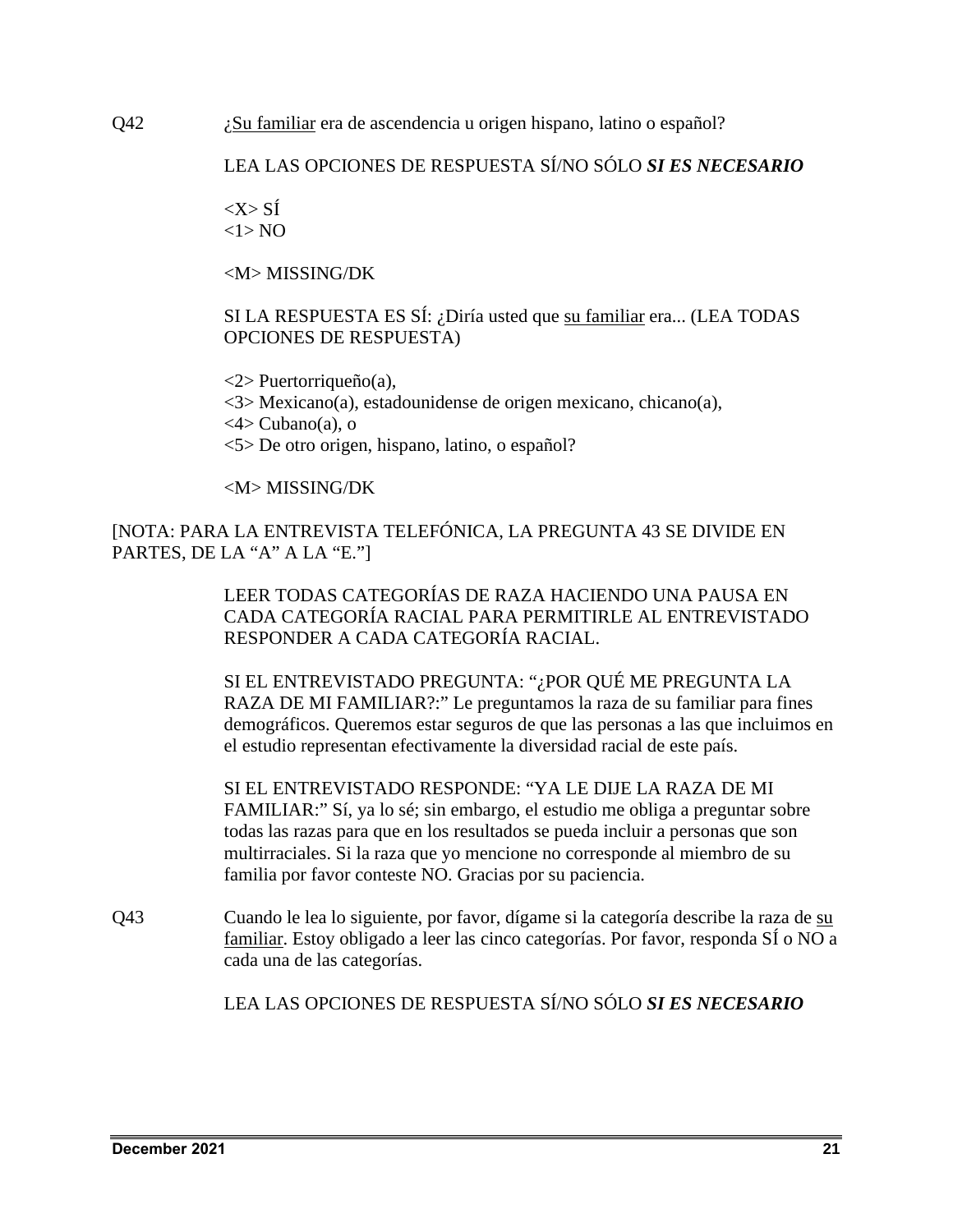Q42 *i*Su familiar era de ascendencia u origen hispano, latino o español?

# LEA LAS OPCIONES DE RESPUESTA SÍ/NO SÓLO *SI ES NECESARIO*

 $\langle X \rangle$  SÍ  $<1>NO$ 

<M> MISSING/DK

SI LA RESPUESTA ES SÍ: ¿Diría usted que su familiar era... (LEA TODAS OPCIONES DE RESPUESTA)

<2> Puertorriqueño(a),

<3> Mexicano(a), estadounidense de origen mexicano, chicano(a),

 $\langle 4 \rangle$  Cubano(a), o

<5> De otro origen, hispano, latino, o español?

# <M> MISSING/DK

[NOTA: PARA LA ENTREVISTA TELEFÓNICA, LA PREGUNTA 43 SE DIVIDE EN PARTES, DE LA "A" A LA "E."]

> LEER TODAS CATEGORÍAS DE RAZA HACIENDO UNA PAUSA EN CADA CATEGORÍA RACIAL PARA PERMITIRLE AL ENTREVISTADO RESPONDER A CADA CATEGORÍA RACIAL.

SI EL ENTREVISTADO PREGUNTA: "¿POR QUÉ ME PREGUNTA LA RAZA DE MI FAMILIAR?:" Le preguntamos la raza de su familiar para fines demográficos. Queremos estar seguros de que las personas a las que incluimos en el estudio representan efectivamente la diversidad racial de este país.

SI EL ENTREVISTADO RESPONDE: "YA LE DIJE LA RAZA DE MI FAMILIAR:" Sí, ya lo sé; sin embargo, el estudio me obliga a preguntar sobre todas las razas para que en los resultados se pueda incluir a personas que son multirraciales. Si la raza que yo mencione no corresponde al miembro de su familia por favor conteste NO. Gracias por su paciencia.

Q43 Cuando le lea lo siguiente, por favor, dígame si la categoría describe la raza de su familiar. Estoy obligado a leer las cinco categorías. Por favor, responda SÍ o NO a cada una de las categorías.

LEA LAS OPCIONES DE RESPUESTA SÍ/NO SÓLO *SI ES NECESARIO*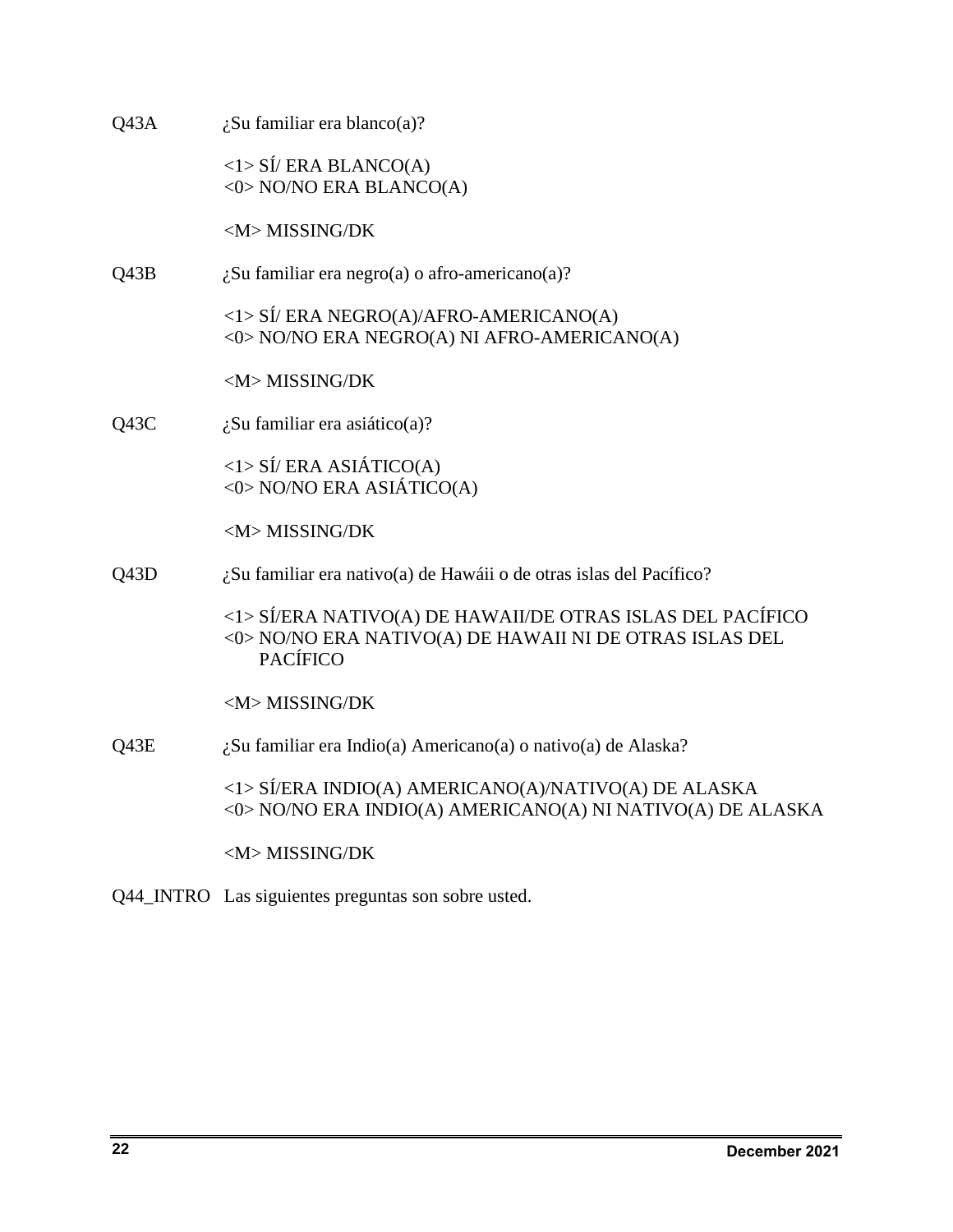| Q43A | $\lambda$ Su familiar era blanco(a)?                                                                                                     |
|------|------------------------------------------------------------------------------------------------------------------------------------------|
|      | $\langle$ 1> SÍ/ERA BLANCO(A)<br><0> NO/NO ERA BLANCO(A)                                                                                 |
|      | <m>MISSING/DK</m>                                                                                                                        |
| Q43B | ¿Su familiar era negro(a) o afro-americano(a)?                                                                                           |
|      | $\langle 1 \rangle$ SÍ/ERA NEGRO(A)/AFRO-AMERICANO(A)<br><0> NO/NO ERA NEGRO(A) NI AFRO-AMERICANO(A)                                     |
|      | <m>MISSING/DK</m>                                                                                                                        |
| Q43C | $\lambda$ Su familiar era asiático(a)?                                                                                                   |
|      | $\langle$ 1> SÍ/ERA ASIÁTICO(A)<br><0> NO/NO ERA ASIÁTICO(A)                                                                             |
|      | <m>MISSING/DK</m>                                                                                                                        |
| Q43D | ¿Su familiar era nativo(a) de Hawáii o de otras islas del Pacífico?                                                                      |
|      | <1> SÍ/ERA NATIVO(A) DE HAWAII/DE OTRAS ISLAS DEL PACÍFICO<br><0> NO/NO ERA NATIVO(A) DE HAWAII NI DE OTRAS ISLAS DEL<br><b>PACÍFICO</b> |
|      | <m>MISSING/DK</m>                                                                                                                        |
| Q43E | ¿Su familiar era Indio(a) Americano(a) o nativo(a) de Alaska?                                                                            |
|      | <1> SÍ/ERA INDIO(A) AMERICANO(A)/NATIVO(A) DE ALASKA<br><0> NO/NO ERA INDIO(A) AMERICANO(A) NI NATIVO(A) DE ALASKA                       |
|      | <m>MISSING/DK</m>                                                                                                                        |
|      |                                                                                                                                          |

Q44\_INTRO Las siguientes preguntas son sobre usted.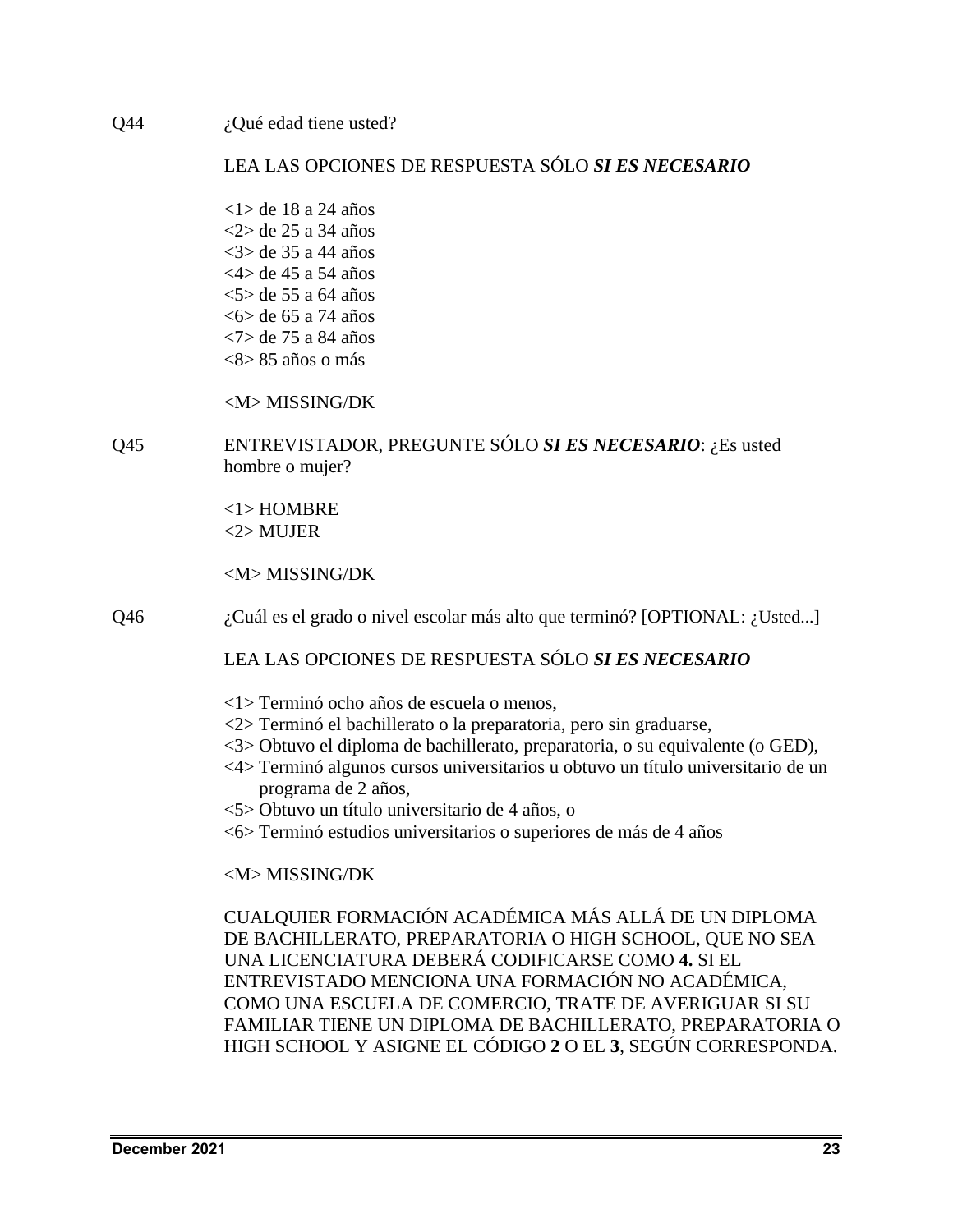$Q44$  *i*, Qué edad tiene usted?

# LEA LAS OPCIONES DE RESPUESTA SÓLO *SI ES NECESARIO*

<1> de 18 a 24 años <2> de 25 a 34 años <3> de 35 a 44 años <4> de 45 a 54 años <5> de 55 a 64 años <6> de 65 a 74 años <7> de 75 a 84 años  $\langle 8 \rangle 85$  años o más

# <M> MISSING/DK

Q45 ENTREVISTADOR, PREGUNTE SÓLO *SI ES NECESARIO*: ¿Es usted hombre o mujer?

> <1> HOMBRE  $2$ > MUJER

<M> MISSING/DK

Q46 *i.* Cuál es el grado o nivel escolar más alto que terminó? [OPTIONAL: *i*. Usted...]

# LEA LAS OPCIONES DE RESPUESTA SÓLO *SI ES NECESARIO*

- <1> Terminó ocho años de escuela o menos,
- <2> Terminó el bachillerato o la preparatoria, pero sin graduarse,
- <3> Obtuvo el diploma de bachillerato, preparatoria, o su equivalente (o GED),
- <4> Terminó algunos cursos universitarios u obtuvo un título universitario de un programa de 2 años,
- <5> Obtuvo un título universitario de 4 años, o
- <6> Terminó estudios universitarios o superiores de más de 4 años

### <M> MISSING/DK

CUALQUIER FORMACIÓN ACADÉMICA MÁS ALLÁ DE UN DIPLOMA DE BACHILLERATO, PREPARATORIA O HIGH SCHOOL, QUE NO SEA UNA LICENCIATURA DEBERÁ CODIFICARSE COMO **4.** SI EL ENTREVISTADO MENCIONA UNA FORMACIÓN NO ACADÉMICA, COMO UNA ESCUELA DE COMERCIO, TRATE DE AVERIGUAR SI SU FAMILIAR TIENE UN DIPLOMA DE BACHILLERATO, PREPARATORIA O HIGH SCHOOL Y ASIGNE EL CÓDIGO **2** O EL **3**, SEGÚN CORRESPONDA.